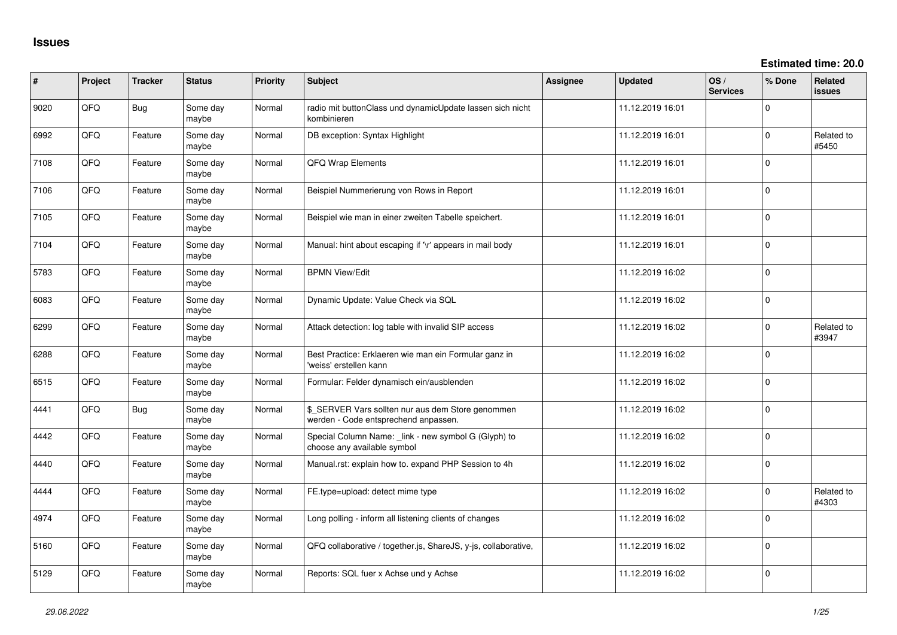| #    | Project | <b>Tracker</b> | <b>Status</b>     | <b>Priority</b> | <b>Subject</b>                                                                            | <b>Assignee</b> | <b>Updated</b>   | OS/<br><b>Services</b> | % Done       | <b>Related</b><br><b>issues</b> |
|------|---------|----------------|-------------------|-----------------|-------------------------------------------------------------------------------------------|-----------------|------------------|------------------------|--------------|---------------------------------|
| 9020 | QFQ     | Bug            | Some day<br>maybe | Normal          | radio mit buttonClass und dynamicUpdate lassen sich nicht<br>kombinieren                  |                 | 11.12.2019 16:01 |                        | 0            |                                 |
| 6992 | QFQ     | Feature        | Some day<br>maybe | Normal          | DB exception: Syntax Highlight                                                            |                 | 11.12.2019 16:01 |                        | $\Omega$     | Related to<br>#5450             |
| 7108 | QFQ     | Feature        | Some day<br>maybe | Normal          | <b>QFQ Wrap Elements</b>                                                                  |                 | 11.12.2019 16:01 |                        | 0            |                                 |
| 7106 | QFQ     | Feature        | Some day<br>maybe | Normal          | Beispiel Nummerierung von Rows in Report                                                  |                 | 11.12.2019 16:01 |                        | 0            |                                 |
| 7105 | QFQ     | Feature        | Some day<br>maybe | Normal          | Beispiel wie man in einer zweiten Tabelle speichert.                                      |                 | 11.12.2019 16:01 |                        | $\mathbf 0$  |                                 |
| 7104 | QFQ     | Feature        | Some day<br>maybe | Normal          | Manual: hint about escaping if '\r' appears in mail body                                  |                 | 11.12.2019 16:01 |                        | $\mathbf{0}$ |                                 |
| 5783 | QFQ     | Feature        | Some day<br>maybe | Normal          | <b>BPMN View/Edit</b>                                                                     |                 | 11.12.2019 16:02 |                        | $\mathbf 0$  |                                 |
| 6083 | QFQ     | Feature        | Some day<br>maybe | Normal          | Dynamic Update: Value Check via SQL                                                       |                 | 11.12.2019 16:02 |                        | $\mathbf 0$  |                                 |
| 6299 | QFQ     | Feature        | Some day<br>maybe | Normal          | Attack detection: log table with invalid SIP access                                       |                 | 11.12.2019 16:02 |                        | $\Omega$     | Related to<br>#3947             |
| 6288 | QFQ     | Feature        | Some day<br>maybe | Normal          | Best Practice: Erklaeren wie man ein Formular ganz in<br>'weiss' erstellen kann           |                 | 11.12.2019 16:02 |                        | $\Omega$     |                                 |
| 6515 | QFQ     | Feature        | Some day<br>maybe | Normal          | Formular: Felder dynamisch ein/ausblenden                                                 |                 | 11.12.2019 16:02 |                        | $\mathbf 0$  |                                 |
| 4441 | QFQ     | <b>Bug</b>     | Some day<br>maybe | Normal          | \$ SERVER Vars sollten nur aus dem Store genommen<br>werden - Code entsprechend anpassen. |                 | 11.12.2019 16:02 |                        | $\mathbf 0$  |                                 |
| 4442 | QFQ     | Feature        | Some day<br>maybe | Normal          | Special Column Name: link - new symbol G (Glyph) to<br>choose any available symbol        |                 | 11.12.2019 16:02 |                        | 0            |                                 |
| 4440 | QFQ     | Feature        | Some day<br>maybe | Normal          | Manual.rst: explain how to. expand PHP Session to 4h                                      |                 | 11.12.2019 16:02 |                        | $\mathbf 0$  |                                 |
| 4444 | QFQ     | Feature        | Some day<br>maybe | Normal          | FE.type=upload: detect mime type                                                          |                 | 11.12.2019 16:02 |                        | 0            | Related to<br>#4303             |
| 4974 | QFQ     | Feature        | Some day<br>maybe | Normal          | Long polling - inform all listening clients of changes                                    |                 | 11.12.2019 16:02 |                        | 0            |                                 |
| 5160 | QFQ     | Feature        | Some day<br>maybe | Normal          | QFQ collaborative / together.js, ShareJS, y-js, collaborative,                            |                 | 11.12.2019 16:02 |                        | $\mathbf 0$  |                                 |
| 5129 | QFQ     | Feature        | Some day<br>maybe | Normal          | Reports: SQL fuer x Achse und y Achse                                                     |                 | 11.12.2019 16:02 |                        | $\mathbf 0$  |                                 |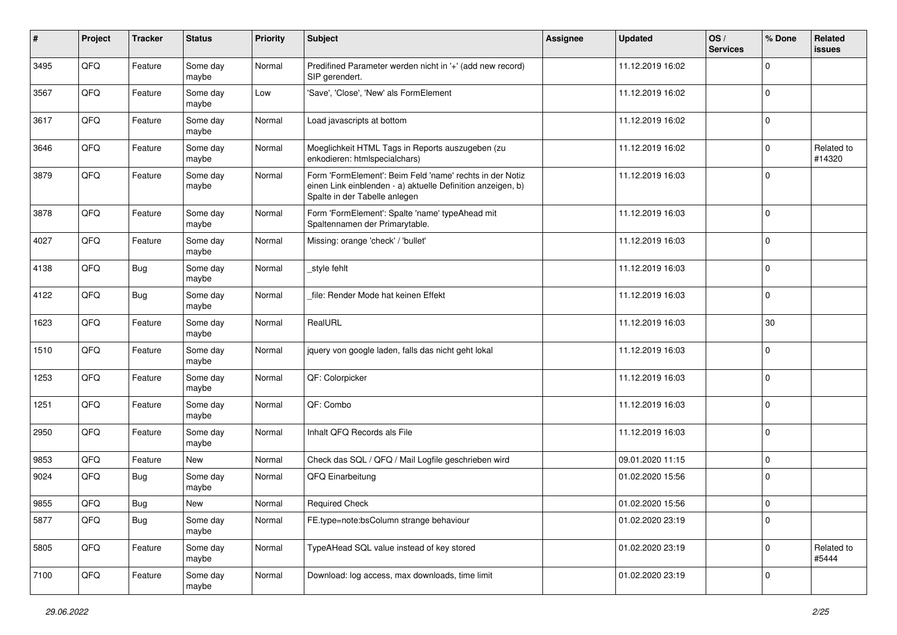| #    | Project | <b>Tracker</b> | <b>Status</b>     | <b>Priority</b> | Subject                                                                                                                                                  | <b>Assignee</b> | <b>Updated</b>   | OS/<br><b>Services</b> | % Done      | Related<br><b>issues</b> |
|------|---------|----------------|-------------------|-----------------|----------------------------------------------------------------------------------------------------------------------------------------------------------|-----------------|------------------|------------------------|-------------|--------------------------|
| 3495 | QFQ     | Feature        | Some day<br>maybe | Normal          | Predifined Parameter werden nicht in '+' (add new record)<br>SIP gerendert.                                                                              |                 | 11.12.2019 16:02 |                        | $\Omega$    |                          |
| 3567 | QFQ     | Feature        | Some day<br>maybe | Low             | 'Save', 'Close', 'New' als FormElement                                                                                                                   |                 | 11.12.2019 16:02 |                        | $\mathbf 0$ |                          |
| 3617 | QFQ     | Feature        | Some day<br>maybe | Normal          | Load javascripts at bottom                                                                                                                               |                 | 11.12.2019 16:02 |                        | $\Omega$    |                          |
| 3646 | QFQ     | Feature        | Some day<br>maybe | Normal          | Moeglichkeit HTML Tags in Reports auszugeben (zu<br>enkodieren: htmlspecialchars)                                                                        |                 | 11.12.2019 16:02 |                        | 0           | Related to<br>#14320     |
| 3879 | QFQ     | Feature        | Some day<br>maybe | Normal          | Form 'FormElement': Beim Feld 'name' rechts in der Notiz<br>einen Link einblenden - a) aktuelle Definition anzeigen, b)<br>Spalte in der Tabelle anlegen |                 | 11.12.2019 16:03 |                        | $\Omega$    |                          |
| 3878 | QFQ     | Feature        | Some day<br>maybe | Normal          | Form 'FormElement': Spalte 'name' typeAhead mit<br>Spaltennamen der Primarytable.                                                                        |                 | 11.12.2019 16:03 |                        | 0           |                          |
| 4027 | QFQ     | Feature        | Some day<br>maybe | Normal          | Missing: orange 'check' / 'bullet'                                                                                                                       |                 | 11.12.2019 16:03 |                        | $\Omega$    |                          |
| 4138 | QFQ     | <b>Bug</b>     | Some day<br>maybe | Normal          | _style fehlt                                                                                                                                             |                 | 11.12.2019 16:03 |                        | $\Omega$    |                          |
| 4122 | QFQ     | <b>Bug</b>     | Some day<br>maybe | Normal          | file: Render Mode hat keinen Effekt                                                                                                                      |                 | 11.12.2019 16:03 |                        | $\mathbf 0$ |                          |
| 1623 | QFQ     | Feature        | Some day<br>maybe | Normal          | RealURL                                                                                                                                                  |                 | 11.12.2019 16:03 |                        | 30          |                          |
| 1510 | QFQ     | Feature        | Some day<br>maybe | Normal          | jquery von google laden, falls das nicht geht lokal                                                                                                      |                 | 11.12.2019 16:03 |                        | $\mathbf 0$ |                          |
| 1253 | QFQ     | Feature        | Some day<br>maybe | Normal          | QF: Colorpicker                                                                                                                                          |                 | 11.12.2019 16:03 |                        | 0           |                          |
| 1251 | QFQ     | Feature        | Some day<br>maybe | Normal          | QF: Combo                                                                                                                                                |                 | 11.12.2019 16:03 |                        | $\mathbf 0$ |                          |
| 2950 | QFQ     | Feature        | Some day<br>maybe | Normal          | Inhalt QFQ Records als File                                                                                                                              |                 | 11.12.2019 16:03 |                        | $\mathbf 0$ |                          |
| 9853 | QFQ     | Feature        | New               | Normal          | Check das SQL / QFQ / Mail Logfile geschrieben wird                                                                                                      |                 | 09.01.2020 11:15 |                        | $\mathbf 0$ |                          |
| 9024 | QFQ     | Bug            | Some day<br>maybe | Normal          | QFQ Einarbeitung                                                                                                                                         |                 | 01.02.2020 15:56 |                        | 0           |                          |
| 9855 | QFQ     | <b>Bug</b>     | <b>New</b>        | Normal          | <b>Required Check</b>                                                                                                                                    |                 | 01.02.2020 15:56 |                        | 0           |                          |
| 5877 | QFQ     | <b>Bug</b>     | Some day<br>maybe | Normal          | FE.type=note:bsColumn strange behaviour                                                                                                                  |                 | 01.02.2020 23:19 |                        | 0           |                          |
| 5805 | QFQ     | Feature        | Some day<br>maybe | Normal          | TypeAHead SQL value instead of key stored                                                                                                                |                 | 01.02.2020 23:19 |                        | 0           | Related to<br>#5444      |
| 7100 | QFQ     | Feature        | Some day<br>maybe | Normal          | Download: log access, max downloads, time limit                                                                                                          |                 | 01.02.2020 23:19 |                        | 0           |                          |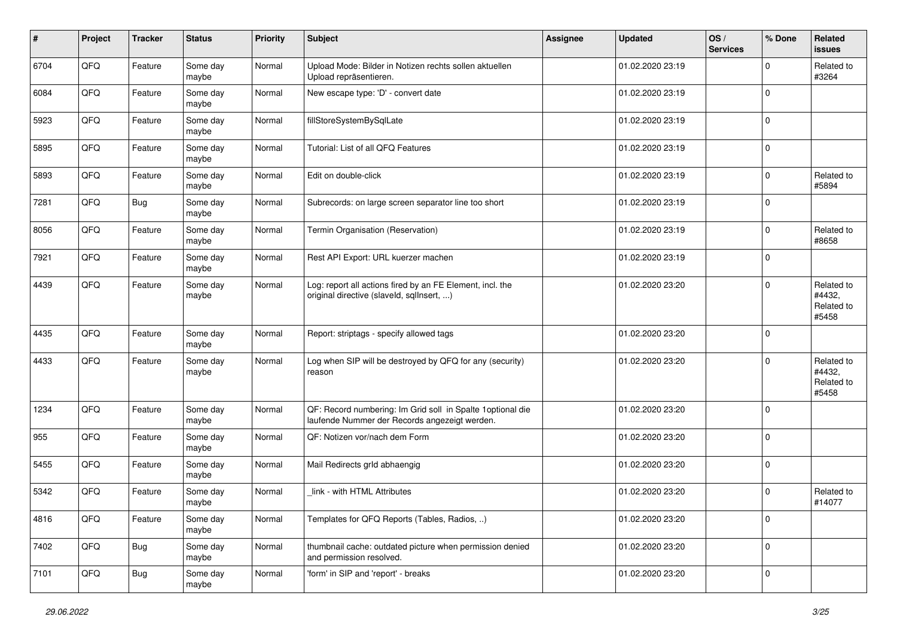| $\pmb{\#}$ | Project | Tracker    | <b>Status</b>     | <b>Priority</b> | <b>Subject</b>                                                                                              | <b>Assignee</b> | <b>Updated</b>   | OS/<br><b>Services</b> | % Done      | Related<br>issues                           |
|------------|---------|------------|-------------------|-----------------|-------------------------------------------------------------------------------------------------------------|-----------------|------------------|------------------------|-------------|---------------------------------------------|
| 6704       | QFQ     | Feature    | Some day<br>maybe | Normal          | Upload Mode: Bilder in Notizen rechts sollen aktuellen<br>Upload repräsentieren.                            |                 | 01.02.2020 23:19 |                        | $\Omega$    | Related to<br>#3264                         |
| 6084       | QFQ     | Feature    | Some day<br>maybe | Normal          | New escape type: 'D' - convert date                                                                         |                 | 01.02.2020 23:19 |                        | $\mathbf 0$ |                                             |
| 5923       | QFQ     | Feature    | Some day<br>maybe | Normal          | fillStoreSystemBySqlLate                                                                                    |                 | 01.02.2020 23:19 |                        | 0           |                                             |
| 5895       | QFQ     | Feature    | Some day<br>maybe | Normal          | Tutorial: List of all QFQ Features                                                                          |                 | 01.02.2020 23:19 |                        | $\mathbf 0$ |                                             |
| 5893       | QFQ     | Feature    | Some day<br>maybe | Normal          | Edit on double-click                                                                                        |                 | 01.02.2020 23:19 |                        | $\Omega$    | Related to<br>#5894                         |
| 7281       | QFQ     | Bug        | Some day<br>maybe | Normal          | Subrecords: on large screen separator line too short                                                        |                 | 01.02.2020 23:19 |                        | $\Omega$    |                                             |
| 8056       | QFQ     | Feature    | Some day<br>maybe | Normal          | Termin Organisation (Reservation)                                                                           |                 | 01.02.2020 23:19 |                        | $\Omega$    | Related to<br>#8658                         |
| 7921       | QFQ     | Feature    | Some day<br>maybe | Normal          | Rest API Export: URL kuerzer machen                                                                         |                 | 01.02.2020 23:19 |                        | $\mathbf 0$ |                                             |
| 4439       | QFQ     | Feature    | Some day<br>maybe | Normal          | Log: report all actions fired by an FE Element, incl. the<br>original directive (slaveld, sqlInsert, )      |                 | 01.02.2020 23:20 |                        | $\Omega$    | Related to<br>#4432,<br>Related to<br>#5458 |
| 4435       | QFQ     | Feature    | Some day<br>maybe | Normal          | Report: striptags - specify allowed tags                                                                    |                 | 01.02.2020 23:20 |                        | $\mathbf 0$ |                                             |
| 4433       | QFQ     | Feature    | Some day<br>maybe | Normal          | Log when SIP will be destroyed by QFQ for any (security)<br>reason                                          |                 | 01.02.2020 23:20 |                        | $\Omega$    | Related to<br>#4432,<br>Related to<br>#5458 |
| 1234       | QFQ     | Feature    | Some day<br>maybe | Normal          | QF: Record numbering: Im Grid soll in Spalte 1optional die<br>laufende Nummer der Records angezeigt werden. |                 | 01.02.2020 23:20 |                        | 0           |                                             |
| 955        | QFQ     | Feature    | Some day<br>maybe | Normal          | QF: Notizen vor/nach dem Form                                                                               |                 | 01.02.2020 23:20 |                        | $\mathbf 0$ |                                             |
| 5455       | QFQ     | Feature    | Some day<br>maybe | Normal          | Mail Redirects grld abhaengig                                                                               |                 | 01.02.2020 23:20 |                        | $\mathbf 0$ |                                             |
| 5342       | QFQ     | Feature    | Some day<br>maybe | Normal          | link - with HTML Attributes                                                                                 |                 | 01.02.2020 23:20 |                        | $\Omega$    | Related to<br>#14077                        |
| 4816       | QFG     | Feature    | Some day<br>maybe | Normal          | Templates for QFQ Reports (Tables, Radios, )                                                                |                 | 01.02.2020 23:20 |                        | 0           |                                             |
| 7402       | QFQ     | <b>Bug</b> | Some day<br>maybe | Normal          | thumbnail cache: outdated picture when permission denied<br>and permission resolved.                        |                 | 01.02.2020 23:20 |                        | 0           |                                             |
| 7101       | QFQ     | <b>Bug</b> | Some day<br>maybe | Normal          | 'form' in SIP and 'report' - breaks                                                                         |                 | 01.02.2020 23:20 |                        | 0           |                                             |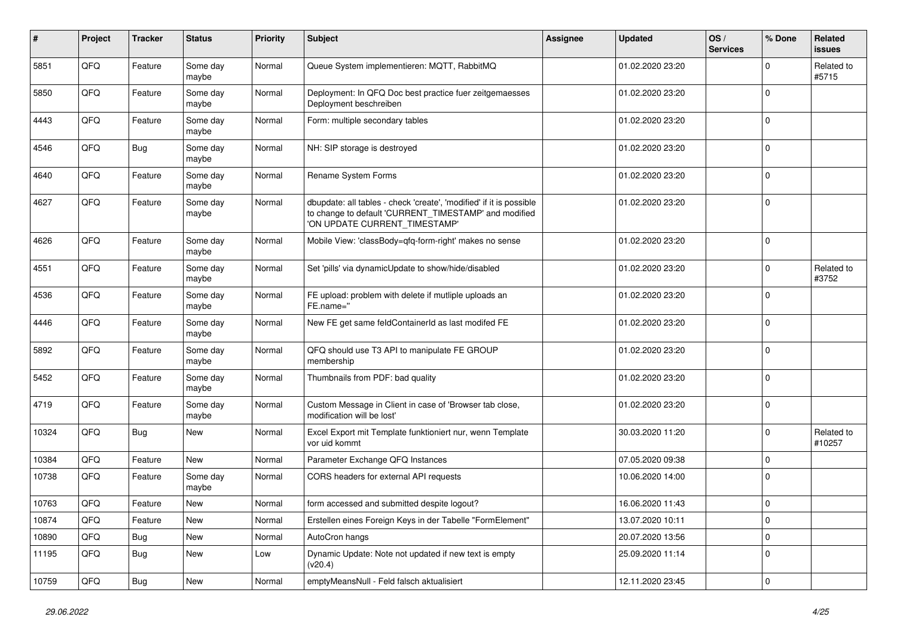| $\sharp$ | Project | <b>Tracker</b> | <b>Status</b>     | <b>Priority</b> | <b>Subject</b>                                                                                                                                                | <b>Assignee</b> | <b>Updated</b>   | OS/<br><b>Services</b> | % Done      | Related<br>issues    |
|----------|---------|----------------|-------------------|-----------------|---------------------------------------------------------------------------------------------------------------------------------------------------------------|-----------------|------------------|------------------------|-------------|----------------------|
| 5851     | QFQ     | Feature        | Some day<br>maybe | Normal          | Queue System implementieren: MQTT, RabbitMQ                                                                                                                   |                 | 01.02.2020 23:20 |                        | 0           | Related to<br>#5715  |
| 5850     | QFQ     | Feature        | Some day<br>maybe | Normal          | Deployment: In QFQ Doc best practice fuer zeitgemaesses<br>Deployment beschreiben                                                                             |                 | 01.02.2020 23:20 |                        | $\mathbf 0$ |                      |
| 4443     | QFQ     | Feature        | Some day<br>maybe | Normal          | Form: multiple secondary tables                                                                                                                               |                 | 01.02.2020 23:20 |                        | $\mathbf 0$ |                      |
| 4546     | QFQ     | <b>Bug</b>     | Some day<br>maybe | Normal          | NH: SIP storage is destroyed                                                                                                                                  |                 | 01.02.2020 23:20 |                        | $\mathbf 0$ |                      |
| 4640     | QFQ     | Feature        | Some day<br>maybe | Normal          | Rename System Forms                                                                                                                                           |                 | 01.02.2020 23:20 |                        | $\mathbf 0$ |                      |
| 4627     | QFQ     | Feature        | Some day<br>maybe | Normal          | dbupdate: all tables - check 'create', 'modified' if it is possible<br>to change to default 'CURRENT_TIMESTAMP' and modified<br>'ON UPDATE CURRENT_TIMESTAMP' |                 | 01.02.2020 23:20 |                        | $\mathbf 0$ |                      |
| 4626     | QFQ     | Feature        | Some day<br>maybe | Normal          | Mobile View: 'classBody=qfq-form-right' makes no sense                                                                                                        |                 | 01.02.2020 23:20 |                        | $\mathbf 0$ |                      |
| 4551     | QFQ     | Feature        | Some day<br>maybe | Normal          | Set 'pills' via dynamicUpdate to show/hide/disabled                                                                                                           |                 | 01.02.2020 23:20 |                        | $\mathbf 0$ | Related to<br>#3752  |
| 4536     | QFQ     | Feature        | Some day<br>maybe | Normal          | FE upload: problem with delete if mutliple uploads an<br>FE.name="                                                                                            |                 | 01.02.2020 23:20 |                        | $\mathbf 0$ |                      |
| 4446     | QFQ     | Feature        | Some day<br>maybe | Normal          | New FE get same feldContainerId as last modifed FE                                                                                                            |                 | 01.02.2020 23:20 |                        | $\mathbf 0$ |                      |
| 5892     | QFQ     | Feature        | Some day<br>maybe | Normal          | QFQ should use T3 API to manipulate FE GROUP<br>membership                                                                                                    |                 | 01.02.2020 23:20 |                        | 0           |                      |
| 5452     | QFQ     | Feature        | Some day<br>maybe | Normal          | Thumbnails from PDF: bad quality                                                                                                                              |                 | 01.02.2020 23:20 |                        | $\Omega$    |                      |
| 4719     | QFQ     | Feature        | Some day<br>maybe | Normal          | Custom Message in Client in case of 'Browser tab close,<br>modification will be lost'                                                                         |                 | 01.02.2020 23:20 |                        | $\mathbf 0$ |                      |
| 10324    | QFQ     | <b>Bug</b>     | New               | Normal          | Excel Export mit Template funktioniert nur, wenn Template<br>vor uid kommt                                                                                    |                 | 30.03.2020 11:20 |                        | $\mathbf 0$ | Related to<br>#10257 |
| 10384    | QFQ     | Feature        | New               | Normal          | Parameter Exchange QFQ Instances                                                                                                                              |                 | 07.05.2020 09:38 |                        | $\mathbf 0$ |                      |
| 10738    | QFQ     | Feature        | Some day<br>maybe | Normal          | CORS headers for external API requests                                                                                                                        |                 | 10.06.2020 14:00 |                        | $\mathbf 0$ |                      |
| 10763    | QFQ     | Feature        | New               | Normal          | form accessed and submitted despite logout?                                                                                                                   |                 | 16.06.2020 11:43 |                        | $\mathbf 0$ |                      |
| 10874    | QFQ     | Feature        | New               | Normal          | Erstellen eines Foreign Keys in der Tabelle "FormElement"                                                                                                     |                 | 13.07.2020 10:11 |                        | 0           |                      |
| 10890    | QFQ     | Bug            | New               | Normal          | AutoCron hangs                                                                                                                                                |                 | 20.07.2020 13:56 |                        | $\mathbf 0$ |                      |
| 11195    | QFQ     | Bug            | New               | Low             | Dynamic Update: Note not updated if new text is empty<br>(v20.4)                                                                                              |                 | 25.09.2020 11:14 |                        | 0           |                      |
| 10759    | QFG     | <b>Bug</b>     | New               | Normal          | emptyMeansNull - Feld falsch aktualisiert                                                                                                                     |                 | 12.11.2020 23:45 |                        | 0           |                      |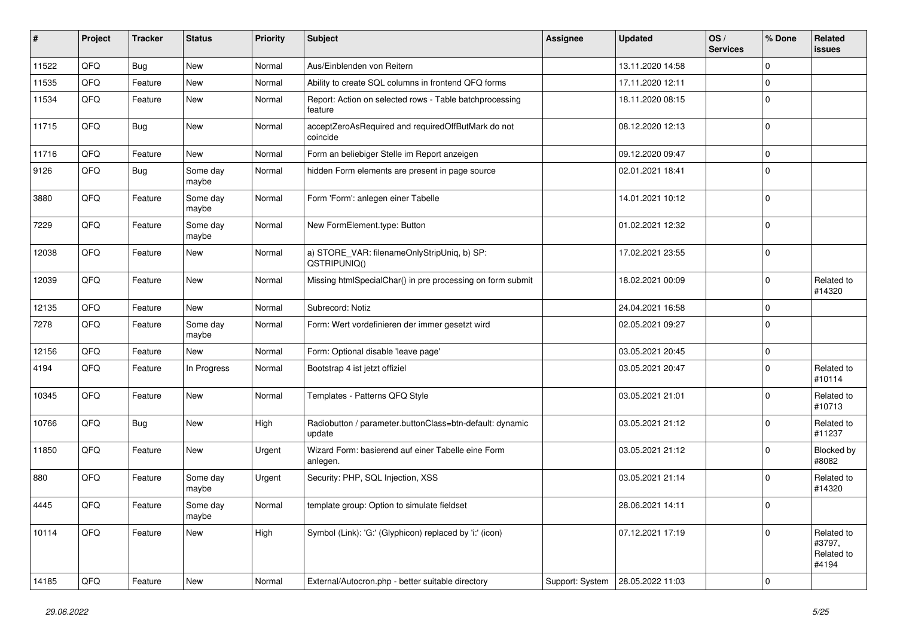| ∦     | Project | <b>Tracker</b> | <b>Status</b>     | <b>Priority</b> | <b>Subject</b>                                                     | Assignee        | <b>Updated</b>   | OS/<br><b>Services</b> | % Done      | Related<br>issues                           |
|-------|---------|----------------|-------------------|-----------------|--------------------------------------------------------------------|-----------------|------------------|------------------------|-------------|---------------------------------------------|
| 11522 | QFQ     | <b>Bug</b>     | <b>New</b>        | Normal          | Aus/Einblenden von Reitern                                         |                 | 13.11.2020 14:58 |                        | $\mathbf 0$ |                                             |
| 11535 | QFQ     | Feature        | <b>New</b>        | Normal          | Ability to create SQL columns in frontend QFQ forms                |                 | 17.11.2020 12:11 |                        | $\mathbf 0$ |                                             |
| 11534 | QFQ     | Feature        | New               | Normal          | Report: Action on selected rows - Table batchprocessing<br>feature |                 | 18.11.2020 08:15 |                        | $\mathbf 0$ |                                             |
| 11715 | QFQ     | <b>Bug</b>     | New               | Normal          | acceptZeroAsRequired and requiredOffButMark do not<br>coincide     |                 | 08.12.2020 12:13 |                        | $\mathbf 0$ |                                             |
| 11716 | QFQ     | Feature        | New               | Normal          | Form an beliebiger Stelle im Report anzeigen                       |                 | 09.12.2020 09:47 |                        | $\mathbf 0$ |                                             |
| 9126  | QFQ     | Bug            | Some day<br>maybe | Normal          | hidden Form elements are present in page source                    |                 | 02.01.2021 18:41 |                        | $\mathbf 0$ |                                             |
| 3880  | QFQ     | Feature        | Some day<br>maybe | Normal          | Form 'Form': anlegen einer Tabelle                                 |                 | 14.01.2021 10:12 |                        | $\mathbf 0$ |                                             |
| 7229  | QFQ     | Feature        | Some day<br>maybe | Normal          | New FormElement.type: Button                                       |                 | 01.02.2021 12:32 |                        | $\mathbf 0$ |                                             |
| 12038 | QFQ     | Feature        | New               | Normal          | a) STORE_VAR: filenameOnlyStripUniq, b) SP:<br>QSTRIPUNIQ()        |                 | 17.02.2021 23:55 |                        | $\mathbf 0$ |                                             |
| 12039 | QFQ     | Feature        | New               | Normal          | Missing htmlSpecialChar() in pre processing on form submit         |                 | 18.02.2021 00:09 |                        | $\mathbf 0$ | Related to<br>#14320                        |
| 12135 | QFQ     | Feature        | New               | Normal          | Subrecord: Notiz                                                   |                 | 24.04.2021 16:58 |                        | $\mathbf 0$ |                                             |
| 7278  | QFQ     | Feature        | Some day<br>maybe | Normal          | Form: Wert vordefinieren der immer gesetzt wird                    |                 | 02.05.2021 09:27 |                        | $\mathbf 0$ |                                             |
| 12156 | QFQ     | Feature        | New               | Normal          | Form: Optional disable 'leave page'                                |                 | 03.05.2021 20:45 |                        | $\mathbf 0$ |                                             |
| 4194  | QFQ     | Feature        | In Progress       | Normal          | Bootstrap 4 ist jetzt offiziel                                     |                 | 03.05.2021 20:47 |                        | $\mathbf 0$ | Related to<br>#10114                        |
| 10345 | QFQ     | Feature        | <b>New</b>        | Normal          | Templates - Patterns QFQ Style                                     |                 | 03.05.2021 21:01 |                        | $\mathbf 0$ | Related to<br>#10713                        |
| 10766 | QFQ     | <b>Bug</b>     | New               | High            | Radiobutton / parameter.buttonClass=btn-default: dynamic<br>update |                 | 03.05.2021 21:12 |                        | $\mathbf 0$ | Related to<br>#11237                        |
| 11850 | QFQ     | Feature        | New               | Urgent          | Wizard Form: basierend auf einer Tabelle eine Form<br>anlegen.     |                 | 03.05.2021 21:12 |                        | $\mathbf 0$ | Blocked by<br>#8082                         |
| 880   | QFQ     | Feature        | Some day<br>maybe | Urgent          | Security: PHP, SQL Injection, XSS                                  |                 | 03.05.2021 21:14 |                        | $\mathbf 0$ | Related to<br>#14320                        |
| 4445  | QFQ     | Feature        | Some day<br>maybe | Normal          | template group: Option to simulate fieldset                        |                 | 28.06.2021 14:11 |                        | $\mathbf 0$ |                                             |
| 10114 | QFQ     | Feature        | New               | High            | Symbol (Link): 'G:' (Glyphicon) replaced by 'i:' (icon)            |                 | 07.12.2021 17:19 |                        | 0           | Related to<br>#3797,<br>Related to<br>#4194 |
| 14185 | QFQ     | Feature        | New               | Normal          | External/Autocron.php - better suitable directory                  | Support: System | 28.05.2022 11:03 |                        | $\mathbf 0$ |                                             |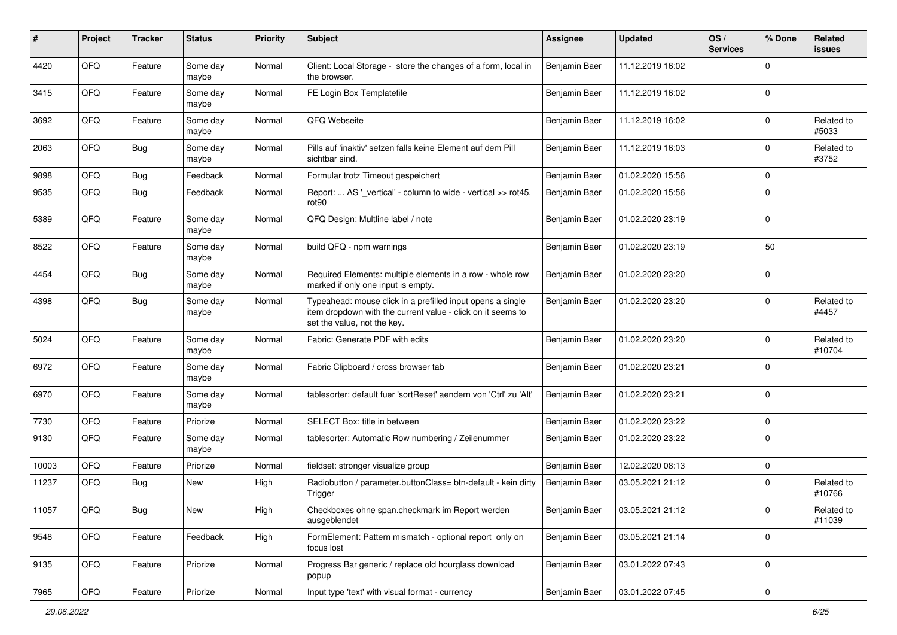| #     | Project | Tracker    | <b>Status</b>     | <b>Priority</b> | Subject                                                                                                                                                  | <b>Assignee</b> | <b>Updated</b>   | OS/<br><b>Services</b> | % Done      | Related<br>issues    |
|-------|---------|------------|-------------------|-----------------|----------------------------------------------------------------------------------------------------------------------------------------------------------|-----------------|------------------|------------------------|-------------|----------------------|
| 4420  | QFQ     | Feature    | Some day<br>maybe | Normal          | Client: Local Storage - store the changes of a form, local in<br>the browser.                                                                            | Benjamin Baer   | 11.12.2019 16:02 |                        | 0           |                      |
| 3415  | QFQ     | Feature    | Some day<br>maybe | Normal          | FE Login Box Templatefile                                                                                                                                | Benjamin Baer   | 11.12.2019 16:02 |                        | 0           |                      |
| 3692  | QFQ     | Feature    | Some day<br>maybe | Normal          | QFQ Webseite                                                                                                                                             | Benjamin Baer   | 11.12.2019 16:02 |                        | 0           | Related to<br>#5033  |
| 2063  | QFQ     | Bug        | Some day<br>maybe | Normal          | Pills auf 'inaktiv' setzen falls keine Element auf dem Pill<br>sichtbar sind.                                                                            | Benjamin Baer   | 11.12.2019 16:03 |                        | $\mathbf 0$ | Related to<br>#3752  |
| 9898  | QFQ     | Bug        | Feedback          | Normal          | Formular trotz Timeout gespeichert                                                                                                                       | Benjamin Baer   | 01.02.2020 15:56 |                        | $\mathbf 0$ |                      |
| 9535  | QFQ     | <b>Bug</b> | Feedback          | Normal          | Report:  AS '_vertical' - column to wide - vertical >> rot45,<br>rot90                                                                                   | Benjamin Baer   | 01.02.2020 15:56 |                        | $\mathbf 0$ |                      |
| 5389  | QFQ     | Feature    | Some day<br>maybe | Normal          | QFQ Design: Multline label / note                                                                                                                        | Benjamin Baer   | 01.02.2020 23:19 |                        | $\mathbf 0$ |                      |
| 8522  | QFQ     | Feature    | Some day<br>maybe | Normal          | build QFQ - npm warnings                                                                                                                                 | Benjamin Baer   | 01.02.2020 23:19 |                        | 50          |                      |
| 4454  | QFQ     | Bug        | Some day<br>maybe | Normal          | Required Elements: multiple elements in a row - whole row<br>marked if only one input is empty.                                                          | Benjamin Baer   | 01.02.2020 23:20 |                        | $\mathbf 0$ |                      |
| 4398  | QFQ     | Bug        | Some day<br>maybe | Normal          | Typeahead: mouse click in a prefilled input opens a single<br>item dropdown with the current value - click on it seems to<br>set the value, not the key. | Benjamin Baer   | 01.02.2020 23:20 |                        | $\mathbf 0$ | Related to<br>#4457  |
| 5024  | QFQ     | Feature    | Some day<br>maybe | Normal          | Fabric: Generate PDF with edits                                                                                                                          | Benjamin Baer   | 01.02.2020 23:20 |                        | $\mathbf 0$ | Related to<br>#10704 |
| 6972  | QFQ     | Feature    | Some day<br>maybe | Normal          | Fabric Clipboard / cross browser tab                                                                                                                     | Benjamin Baer   | 01.02.2020 23:21 |                        | $\mathbf 0$ |                      |
| 6970  | QFQ     | Feature    | Some day<br>maybe | Normal          | tablesorter: default fuer 'sortReset' aendern von 'Ctrl' zu 'Alt'                                                                                        | Benjamin Baer   | 01.02.2020 23:21 |                        | $\mathbf 0$ |                      |
| 7730  | QFQ     | Feature    | Priorize          | Normal          | SELECT Box: title in between                                                                                                                             | Benjamin Baer   | 01.02.2020 23:22 |                        | $\mathbf 0$ |                      |
| 9130  | QFQ     | Feature    | Some day<br>maybe | Normal          | tablesorter: Automatic Row numbering / Zeilenummer                                                                                                       | Benjamin Baer   | 01.02.2020 23:22 |                        | 0           |                      |
| 10003 | QFQ     | Feature    | Priorize          | Normal          | fieldset: stronger visualize group                                                                                                                       | Benjamin Baer   | 12.02.2020 08:13 |                        | 0           |                      |
| 11237 | QFQ     | Bug        | New               | High            | Radiobutton / parameter.buttonClass= btn-default - kein dirty<br>Trigger                                                                                 | Benjamin Baer   | 03.05.2021 21:12 |                        | $\mathbf 0$ | Related to<br>#10766 |
| 11057 | QFQ     | <b>Bug</b> | New               | High            | Checkboxes ohne span.checkmark im Report werden<br>ausgeblendet                                                                                          | Benjamin Baer   | 03.05.2021 21:12 |                        | 0           | Related to<br>#11039 |
| 9548  | QFQ     | Feature    | Feedback          | High            | FormElement: Pattern mismatch - optional report only on<br>focus lost                                                                                    | Benjamin Baer   | 03.05.2021 21:14 |                        | 0           |                      |
| 9135  | QFQ     | Feature    | Priorize          | Normal          | Progress Bar generic / replace old hourglass download<br>popup                                                                                           | Benjamin Baer   | 03.01.2022 07:43 |                        | 0           |                      |
| 7965  | QFQ     | Feature    | Priorize          | Normal          | Input type 'text' with visual format - currency                                                                                                          | Benjamin Baer   | 03.01.2022 07:45 |                        | $\pmb{0}$   |                      |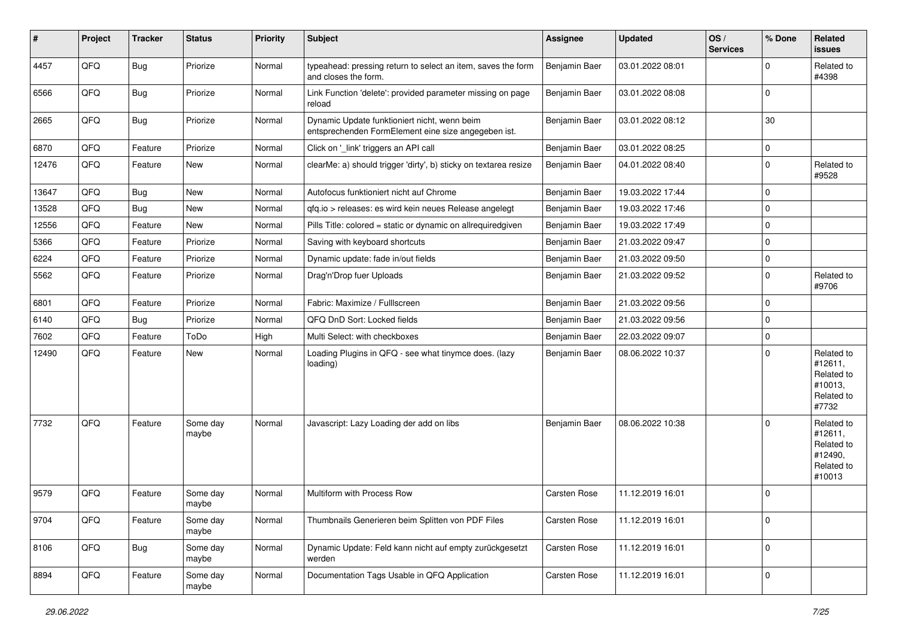| #     | Project | <b>Tracker</b> | <b>Status</b>     | <b>Priority</b> | Subject                                                                                             | <b>Assignee</b>     | <b>Updated</b>   | OS/<br><b>Services</b> | % Done      | Related<br>issues                                                      |
|-------|---------|----------------|-------------------|-----------------|-----------------------------------------------------------------------------------------------------|---------------------|------------------|------------------------|-------------|------------------------------------------------------------------------|
| 4457  | QFQ     | Bug            | Priorize          | Normal          | typeahead: pressing return to select an item, saves the form<br>and closes the form.                | Benjamin Baer       | 03.01.2022 08:01 |                        | $\Omega$    | Related to<br>#4398                                                    |
| 6566  | QFQ     | <b>Bug</b>     | Priorize          | Normal          | Link Function 'delete': provided parameter missing on page<br>reload                                | Benjamin Baer       | 03.01.2022 08:08 |                        | $\mathbf 0$ |                                                                        |
| 2665  | QFQ     | <b>Bug</b>     | Priorize          | Normal          | Dynamic Update funktioniert nicht, wenn beim<br>entsprechenden FormElement eine size angegeben ist. | Benjamin Baer       | 03.01.2022 08:12 |                        | 30          |                                                                        |
| 6870  | QFQ     | Feature        | Priorize          | Normal          | Click on '_link' triggers an API call                                                               | Benjamin Baer       | 03.01.2022 08:25 |                        | $\mathbf 0$ |                                                                        |
| 12476 | QFQ     | Feature        | New               | Normal          | clearMe: a) should trigger 'dirty', b) sticky on textarea resize                                    | Benjamin Baer       | 04.01.2022 08:40 |                        | $\Omega$    | Related to<br>#9528                                                    |
| 13647 | QFQ     | <b>Bug</b>     | <b>New</b>        | Normal          | Autofocus funktioniert nicht auf Chrome                                                             | Benjamin Baer       | 19.03.2022 17:44 |                        | $\mathbf 0$ |                                                                        |
| 13528 | QFQ     | <b>Bug</b>     | <b>New</b>        | Normal          | qfq.io > releases: es wird kein neues Release angelegt                                              | Benjamin Baer       | 19.03.2022 17:46 |                        | $\mathbf 0$ |                                                                        |
| 12556 | QFQ     | Feature        | <b>New</b>        | Normal          | Pills Title: colored = static or dynamic on allrequiredgiven                                        | Benjamin Baer       | 19.03.2022 17:49 |                        | $\mathbf 0$ |                                                                        |
| 5366  | QFQ     | Feature        | Priorize          | Normal          | Saving with keyboard shortcuts                                                                      | Benjamin Baer       | 21.03.2022 09:47 |                        | $\mathbf 0$ |                                                                        |
| 6224  | QFQ     | Feature        | Priorize          | Normal          | Dynamic update: fade in/out fields                                                                  | Benjamin Baer       | 21.03.2022 09:50 |                        | $\mathbf 0$ |                                                                        |
| 5562  | QFQ     | Feature        | Priorize          | Normal          | Drag'n'Drop fuer Uploads                                                                            | Benjamin Baer       | 21.03.2022 09:52 |                        | $\mathbf 0$ | Related to<br>#9706                                                    |
| 6801  | QFQ     | Feature        | Priorize          | Normal          | Fabric: Maximize / Fulllscreen                                                                      | Benjamin Baer       | 21.03.2022 09:56 |                        | $\mathbf 0$ |                                                                        |
| 6140  | QFQ     | Bug            | Priorize          | Normal          | QFQ DnD Sort: Locked fields                                                                         | Benjamin Baer       | 21.03.2022 09:56 |                        | $\Omega$    |                                                                        |
| 7602  | QFQ     | Feature        | ToDo              | High            | Multi Select: with checkboxes                                                                       | Benjamin Baer       | 22.03.2022 09:07 |                        | $\mathbf 0$ |                                                                        |
| 12490 | QFQ     | Feature        | <b>New</b>        | Normal          | Loading Plugins in QFQ - see what tinymce does. (lazy<br>loading)                                   | Benjamin Baer       | 08.06.2022 10:37 |                        | $\Omega$    | Related to<br>#12611,<br>Related to<br>#10013,<br>Related to<br>#7732  |
| 7732  | QFQ     | Feature        | Some day<br>maybe | Normal          | Javascript: Lazy Loading der add on libs                                                            | Benjamin Baer       | 08.06.2022 10:38 |                        | $\Omega$    | Related to<br>#12611,<br>Related to<br>#12490,<br>Related to<br>#10013 |
| 9579  | QFQ     | Feature        | Some day<br>maybe | Normal          | Multiform with Process Row                                                                          | <b>Carsten Rose</b> | 11.12.2019 16:01 |                        | $\mathbf 0$ |                                                                        |
| 9704  | QFQ     | Feature        | Some day<br>maybe | Normal          | Thumbnails Generieren beim Splitten von PDF Files                                                   | Carsten Rose        | 11.12.2019 16:01 |                        | $\mathbf 0$ |                                                                        |
| 8106  | QFQ     | <b>Bug</b>     | Some day<br>maybe | Normal          | Dynamic Update: Feld kann nicht auf empty zurückgesetzt<br>werden                                   | Carsten Rose        | 11.12.2019 16:01 |                        | $\mathbf 0$ |                                                                        |
| 8894  | QFQ     | Feature        | Some day<br>maybe | Normal          | Documentation Tags Usable in QFQ Application                                                        | Carsten Rose        | 11.12.2019 16:01 |                        | 0           |                                                                        |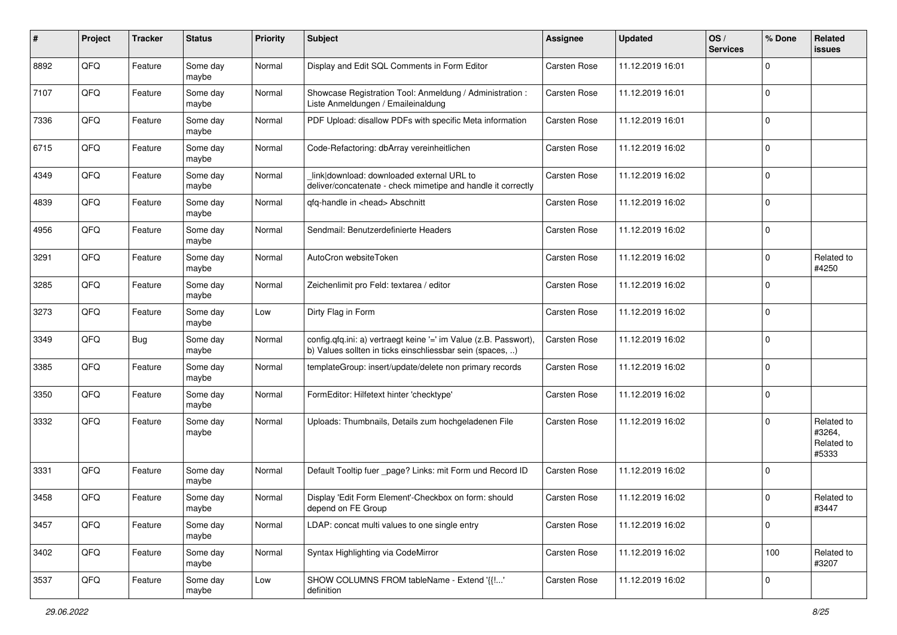| #    | Project | <b>Tracker</b> | <b>Status</b>     | <b>Priority</b> | Subject                                                                                                                       | <b>Assignee</b> | <b>Updated</b>   | OS/<br><b>Services</b> | % Done      | Related<br>issues                           |
|------|---------|----------------|-------------------|-----------------|-------------------------------------------------------------------------------------------------------------------------------|-----------------|------------------|------------------------|-------------|---------------------------------------------|
| 8892 | QFQ     | Feature        | Some day<br>maybe | Normal          | Display and Edit SQL Comments in Form Editor                                                                                  | Carsten Rose    | 11.12.2019 16:01 |                        | 0           |                                             |
| 7107 | QFQ     | Feature        | Some day<br>maybe | Normal          | Showcase Registration Tool: Anmeldung / Administration :<br>Liste Anmeldungen / Emaileinaldung                                | Carsten Rose    | 11.12.2019 16:01 |                        | $\mathbf 0$ |                                             |
| 7336 | QFQ     | Feature        | Some day<br>maybe | Normal          | PDF Upload: disallow PDFs with specific Meta information                                                                      | Carsten Rose    | 11.12.2019 16:01 |                        | $\mathbf 0$ |                                             |
| 6715 | QFQ     | Feature        | Some day<br>maybe | Normal          | Code-Refactoring: dbArray vereinheitlichen                                                                                    | Carsten Rose    | 11.12.2019 16:02 |                        | $\mathbf 0$ |                                             |
| 4349 | QFQ     | Feature        | Some day<br>maybe | Normal          | link download: downloaded external URL to<br>deliver/concatenate - check mimetipe and handle it correctly                     | Carsten Rose    | 11.12.2019 16:02 |                        | $\mathbf 0$ |                                             |
| 4839 | QFQ     | Feature        | Some day<br>maybe | Normal          | gfg-handle in <head> Abschnitt</head>                                                                                         | Carsten Rose    | 11.12.2019 16:02 |                        | $\mathbf 0$ |                                             |
| 4956 | QFQ     | Feature        | Some day<br>maybe | Normal          | Sendmail: Benutzerdefinierte Headers                                                                                          | Carsten Rose    | 11.12.2019 16:02 |                        | $\mathbf 0$ |                                             |
| 3291 | QFQ     | Feature        | Some day<br>maybe | Normal          | AutoCron websiteToken                                                                                                         | Carsten Rose    | 11.12.2019 16:02 |                        | 0           | Related to<br>#4250                         |
| 3285 | QFQ     | Feature        | Some day<br>maybe | Normal          | Zeichenlimit pro Feld: textarea / editor                                                                                      | Carsten Rose    | 11.12.2019 16:02 |                        | 0           |                                             |
| 3273 | QFQ     | Feature        | Some day<br>maybe | Low             | Dirty Flag in Form                                                                                                            | Carsten Rose    | 11.12.2019 16:02 |                        | $\mathbf 0$ |                                             |
| 3349 | QFQ     | Bug            | Some day<br>maybe | Normal          | config.qfq.ini: a) vertraegt keine '=' im Value (z.B. Passwort),<br>b) Values sollten in ticks einschliessbar sein (spaces, ) | Carsten Rose    | 11.12.2019 16:02 |                        | $\mathbf 0$ |                                             |
| 3385 | QFQ     | Feature        | Some day<br>maybe | Normal          | templateGroup: insert/update/delete non primary records                                                                       | Carsten Rose    | 11.12.2019 16:02 |                        | $\mathbf 0$ |                                             |
| 3350 | QFQ     | Feature        | Some day<br>maybe | Normal          | FormEditor: Hilfetext hinter 'checktype'                                                                                      | Carsten Rose    | 11.12.2019 16:02 |                        | 0           |                                             |
| 3332 | QFQ     | Feature        | Some day<br>maybe | Normal          | Uploads: Thumbnails, Details zum hochgeladenen File                                                                           | Carsten Rose    | 11.12.2019 16:02 |                        | 0           | Related to<br>#3264,<br>Related to<br>#5333 |
| 3331 | QFQ     | Feature        | Some day<br>maybe | Normal          | Default Tooltip fuer _page? Links: mit Form und Record ID                                                                     | Carsten Rose    | 11.12.2019 16:02 |                        | 0           |                                             |
| 3458 | QFQ     | Feature        | Some day<br>maybe | Normal          | Display 'Edit Form Element'-Checkbox on form: should<br>depend on FE Group                                                    | Carsten Rose    | 11.12.2019 16:02 |                        | $\mathbf 0$ | Related to<br>#3447                         |
| 3457 | QFQ     | Feature        | Some day<br>maybe | Normal          | LDAP: concat multi values to one single entry                                                                                 | Carsten Rose    | 11.12.2019 16:02 |                        | $\mathbf 0$ |                                             |
| 3402 | QFQ     | Feature        | Some day<br>maybe | Normal          | Syntax Highlighting via CodeMirror                                                                                            | Carsten Rose    | 11.12.2019 16:02 |                        | 100         | Related to<br>#3207                         |
| 3537 | QFQ     | Feature        | Some day<br>maybe | Low             | SHOW COLUMNS FROM tableName - Extend '{{!'<br>definition                                                                      | Carsten Rose    | 11.12.2019 16:02 |                        | $\mathbf 0$ |                                             |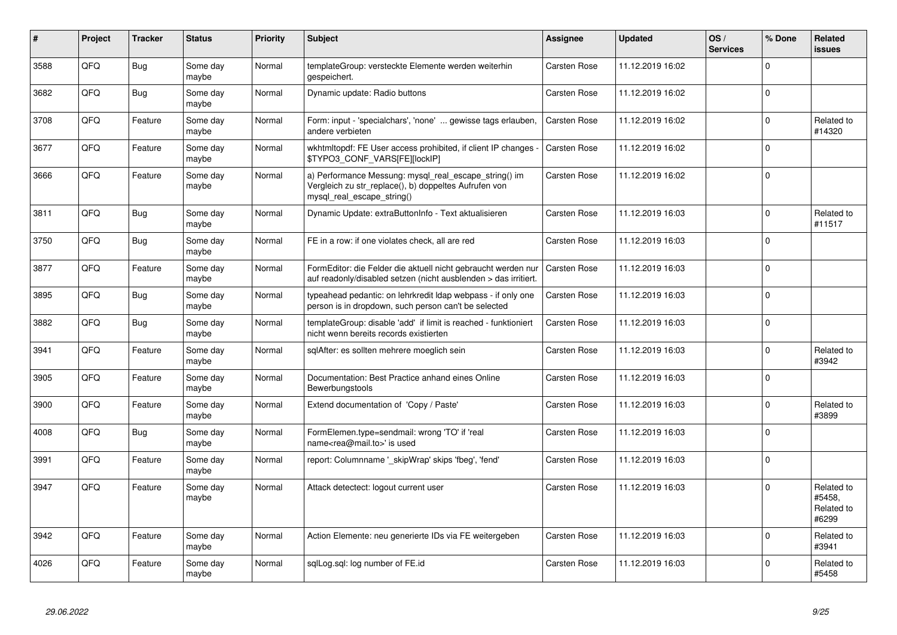| #    | Project | <b>Tracker</b> | <b>Status</b>     | <b>Priority</b> | <b>Subject</b>                                                                                                                               | Assignee            | <b>Updated</b>   | OS/<br><b>Services</b> | % Done      | Related<br><b>issues</b>                    |
|------|---------|----------------|-------------------|-----------------|----------------------------------------------------------------------------------------------------------------------------------------------|---------------------|------------------|------------------------|-------------|---------------------------------------------|
| 3588 | QFQ     | <b>Bug</b>     | Some day<br>maybe | Normal          | templateGroup: versteckte Elemente werden weiterhin<br>gespeichert.                                                                          | <b>Carsten Rose</b> | 11.12.2019 16:02 |                        | $\Omega$    |                                             |
| 3682 | QFQ     | <b>Bug</b>     | Some day<br>maybe | Normal          | Dynamic update: Radio buttons                                                                                                                | Carsten Rose        | 11.12.2019 16:02 |                        | $\Omega$    |                                             |
| 3708 | QFQ     | Feature        | Some day<br>maybe | Normal          | Form: input - 'specialchars', 'none'  gewisse tags erlauben,<br>andere verbieten                                                             | Carsten Rose        | 11.12.2019 16:02 |                        | $\Omega$    | Related to<br>#14320                        |
| 3677 | QFQ     | Feature        | Some day<br>maybe | Normal          | wkhtmltopdf: FE User access prohibited, if client IP changes -<br>\$TYPO3_CONF_VARS[FE][lockIP]                                              | <b>Carsten Rose</b> | 11.12.2019 16:02 |                        | $\Omega$    |                                             |
| 3666 | QFQ     | Feature        | Some day<br>maybe | Normal          | a) Performance Messung: mysql real escape string() im<br>Vergleich zu str_replace(), b) doppeltes Aufrufen von<br>mysql_real_escape_string() | Carsten Rose        | 11.12.2019 16:02 |                        | $\Omega$    |                                             |
| 3811 | QFQ     | <b>Bug</b>     | Some day<br>maybe | Normal          | Dynamic Update: extraButtonInfo - Text aktualisieren                                                                                         | Carsten Rose        | 11.12.2019 16:03 |                        | 0           | Related to<br>#11517                        |
| 3750 | QFQ     | <b>Bug</b>     | Some day<br>maybe | Normal          | FE in a row: if one violates check, all are red                                                                                              | Carsten Rose        | 11.12.2019 16:03 |                        | $\Omega$    |                                             |
| 3877 | QFQ     | Feature        | Some day<br>maybe | Normal          | FormEditor: die Felder die aktuell nicht gebraucht werden nur<br>auf readonly/disabled setzen (nicht ausblenden > das irritiert.             | <b>Carsten Rose</b> | 11.12.2019 16:03 |                        | $\Omega$    |                                             |
| 3895 | QFQ     | <b>Bug</b>     | Some day<br>maybe | Normal          | typeahead pedantic: on lehrkredit Idap webpass - if only one<br>person is in dropdown, such person can't be selected                         | Carsten Rose        | 11.12.2019 16:03 |                        | $\Omega$    |                                             |
| 3882 | QFQ     | <b>Bug</b>     | Some day<br>maybe | Normal          | templateGroup: disable 'add' if limit is reached - funktioniert<br>nicht wenn bereits records existierten                                    | Carsten Rose        | 11.12.2019 16:03 |                        | $\Omega$    |                                             |
| 3941 | QFQ     | Feature        | Some day<br>maybe | Normal          | sqlAfter: es sollten mehrere moeglich sein                                                                                                   | Carsten Rose        | 11.12.2019 16:03 |                        | $\Omega$    | Related to<br>#3942                         |
| 3905 | QFQ     | Feature        | Some day<br>maybe | Normal          | Documentation: Best Practice anhand eines Online<br>Bewerbungstools                                                                          | <b>Carsten Rose</b> | 11.12.2019 16:03 |                        | $\Omega$    |                                             |
| 3900 | QFQ     | Feature        | Some day<br>maybe | Normal          | Extend documentation of 'Copy / Paste'                                                                                                       | Carsten Rose        | 11.12.2019 16:03 |                        | $\Omega$    | Related to<br>#3899                         |
| 4008 | QFQ     | <b>Bug</b>     | Some day<br>maybe | Normal          | FormElemen.type=sendmail: wrong 'TO' if 'real<br>name <rea@mail.to>' is used</rea@mail.to>                                                   | Carsten Rose        | 11.12.2019 16:03 |                        | $\mathbf 0$ |                                             |
| 3991 | QFQ     | Feature        | Some day<br>maybe | Normal          | report: Columnname ' skipWrap' skips 'fbeg', 'fend'                                                                                          | Carsten Rose        | 11.12.2019 16:03 |                        | $\Omega$    |                                             |
| 3947 | QFQ     | Feature        | Some day<br>maybe | Normal          | Attack detectect: logout current user                                                                                                        | Carsten Rose        | 11.12.2019 16:03 |                        | $\Omega$    | Related to<br>#5458,<br>Related to<br>#6299 |
| 3942 | QFQ     | Feature        | Some day<br>maybe | Normal          | Action Elemente: neu generierte IDs via FE weitergeben                                                                                       | Carsten Rose        | 11.12.2019 16:03 |                        | $\Omega$    | Related to<br>#3941                         |
| 4026 | QFQ     | Feature        | Some day<br>maybe | Normal          | sqlLog.sql: log number of FE.id                                                                                                              | <b>Carsten Rose</b> | 11.12.2019 16:03 |                        | $\Omega$    | Related to<br>#5458                         |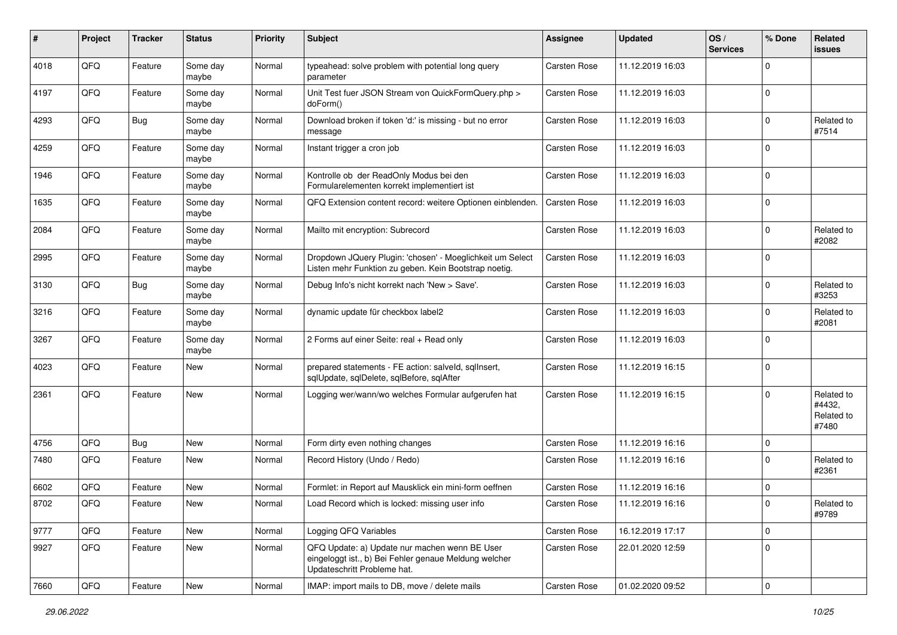| #    | Project | <b>Tracker</b> | <b>Status</b>     | <b>Priority</b> | Subject                                                                                                                               | Assignee            | <b>Updated</b>   | OS/<br><b>Services</b> | % Done         | Related<br>issues                           |
|------|---------|----------------|-------------------|-----------------|---------------------------------------------------------------------------------------------------------------------------------------|---------------------|------------------|------------------------|----------------|---------------------------------------------|
| 4018 | QFQ     | Feature        | Some day<br>maybe | Normal          | typeahead: solve problem with potential long query<br>parameter                                                                       | <b>Carsten Rose</b> | 11.12.2019 16:03 |                        | $\Omega$       |                                             |
| 4197 | QFQ     | Feature        | Some day<br>maybe | Normal          | Unit Test fuer JSON Stream von QuickFormQuery.php ><br>doForm()                                                                       | <b>Carsten Rose</b> | 11.12.2019 16:03 |                        | 0              |                                             |
| 4293 | QFQ     | <b>Bug</b>     | Some day<br>maybe | Normal          | Download broken if token 'd:' is missing - but no error<br>message                                                                    | Carsten Rose        | 11.12.2019 16:03 |                        | $\Omega$       | Related to<br>#7514                         |
| 4259 | QFQ     | Feature        | Some day<br>maybe | Normal          | Instant trigger a cron job                                                                                                            | Carsten Rose        | 11.12.2019 16:03 |                        | $\Omega$       |                                             |
| 1946 | QFQ     | Feature        | Some day<br>maybe | Normal          | Kontrolle ob der ReadOnly Modus bei den<br>Formularelementen korrekt implementiert ist                                                | Carsten Rose        | 11.12.2019 16:03 |                        | $\Omega$       |                                             |
| 1635 | QFQ     | Feature        | Some day<br>maybe | Normal          | QFQ Extension content record: weitere Optionen einblenden.                                                                            | <b>Carsten Rose</b> | 11.12.2019 16:03 |                        | $\Omega$       |                                             |
| 2084 | QFQ     | Feature        | Some day<br>maybe | Normal          | Mailto mit encryption: Subrecord                                                                                                      | <b>Carsten Rose</b> | 11.12.2019 16:03 |                        | $\Omega$       | Related to<br>#2082                         |
| 2995 | QFQ     | Feature        | Some day<br>maybe | Normal          | Dropdown JQuery Plugin: 'chosen' - Moeglichkeit um Select<br>Listen mehr Funktion zu geben. Kein Bootstrap noetig.                    | Carsten Rose        | 11.12.2019 16:03 |                        | $\mathbf 0$    |                                             |
| 3130 | QFQ     | Bug            | Some day<br>maybe | Normal          | Debug Info's nicht korrekt nach 'New > Save'.                                                                                         | <b>Carsten Rose</b> | 11.12.2019 16:03 |                        | $\Omega$       | Related to<br>#3253                         |
| 3216 | QFQ     | Feature        | Some day<br>maybe | Normal          | dynamic update für checkbox label2                                                                                                    | Carsten Rose        | 11.12.2019 16:03 |                        | $\Omega$       | Related to<br>#2081                         |
| 3267 | QFQ     | Feature        | Some day<br>maybe | Normal          | 2 Forms auf einer Seite: real + Read only                                                                                             | Carsten Rose        | 11.12.2019 16:03 |                        | $\Omega$       |                                             |
| 4023 | QFQ     | Feature        | New               | Normal          | prepared statements - FE action: salveld, sqllnsert,<br>sqlUpdate, sqlDelete, sqlBefore, sqlAfter                                     | Carsten Rose        | 11.12.2019 16:15 |                        | $\Omega$       |                                             |
| 2361 | QFQ     | Feature        | New               | Normal          | Logging wer/wann/wo welches Formular aufgerufen hat                                                                                   | <b>Carsten Rose</b> | 11.12.2019 16:15 |                        | $\Omega$       | Related to<br>#4432.<br>Related to<br>#7480 |
| 4756 | QFQ     | Bug            | New               | Normal          | Form dirty even nothing changes                                                                                                       | <b>Carsten Rose</b> | 11.12.2019 16:16 |                        | $\mathbf 0$    |                                             |
| 7480 | QFQ     | Feature        | New               | Normal          | Record History (Undo / Redo)                                                                                                          | Carsten Rose        | 11.12.2019 16:16 |                        | $\Omega$       | Related to<br>#2361                         |
| 6602 | QFQ     | Feature        | New               | Normal          | Formlet: in Report auf Mausklick ein mini-form oeffnen                                                                                | <b>Carsten Rose</b> | 11.12.2019 16:16 |                        | $\mathbf 0$    |                                             |
| 8702 | QFQ     | Feature        | <b>New</b>        | Normal          | Load Record which is locked: missing user info                                                                                        | Carsten Rose        | 11.12.2019 16:16 |                        | $\overline{0}$ | Related to<br>#9789                         |
| 9777 | QFQ     | Feature        | New               | Normal          | Logging QFQ Variables                                                                                                                 | Carsten Rose        | 16.12.2019 17:17 |                        | $\mathbf 0$    |                                             |
| 9927 | QFQ     | Feature        | New               | Normal          | QFQ Update: a) Update nur machen wenn BE User<br>eingeloggt ist., b) Bei Fehler genaue Meldung welcher<br>Updateschritt Probleme hat. | Carsten Rose        | 22.01.2020 12:59 |                        | $\mathbf 0$    |                                             |
| 7660 | QFG     | Feature        | New               | Normal          | IMAP: import mails to DB, move / delete mails                                                                                         | Carsten Rose        | 01.02.2020 09:52 |                        | 0              |                                             |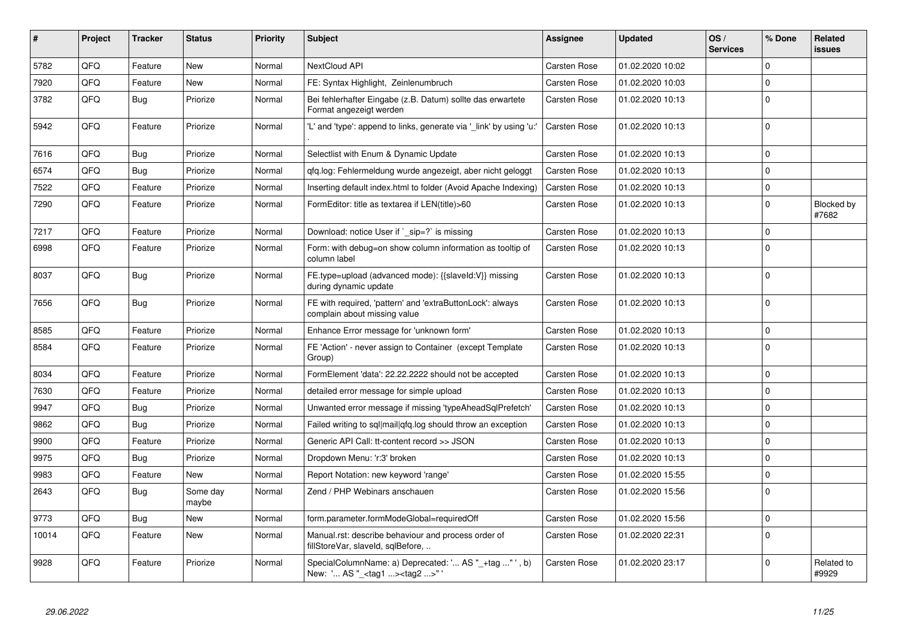| #     | <b>Project</b> | <b>Tracker</b> | <b>Status</b>     | <b>Priority</b> | <b>Subject</b>                                                                                    | Assignee            | <b>Updated</b>   | OS/<br><b>Services</b> | % Done      | Related<br>issues   |
|-------|----------------|----------------|-------------------|-----------------|---------------------------------------------------------------------------------------------------|---------------------|------------------|------------------------|-------------|---------------------|
| 5782  | QFQ            | Feature        | <b>New</b>        | Normal          | NextCloud API                                                                                     | <b>Carsten Rose</b> | 01.02.2020 10:02 |                        | $\mathbf 0$ |                     |
| 7920  | QFQ            | Feature        | New               | Normal          | FE: Syntax Highlight, Zeinlenumbruch                                                              | Carsten Rose        | 01.02.2020 10:03 |                        | $\Omega$    |                     |
| 3782  | QFQ            | <b>Bug</b>     | Priorize          | Normal          | Bei fehlerhafter Eingabe (z.B. Datum) sollte das erwartete<br>Format angezeigt werden             | Carsten Rose        | 01.02.2020 10:13 |                        | $\Omega$    |                     |
| 5942  | QFQ            | Feature        | Priorize          | Normal          | 'L' and 'type': append to links, generate via '_link' by using 'u:'                               | <b>Carsten Rose</b> | 01.02.2020 10:13 |                        | $\Omega$    |                     |
| 7616  | QFQ            | <b>Bug</b>     | Priorize          | Normal          | Selectlist with Enum & Dynamic Update                                                             | <b>Carsten Rose</b> | 01.02.2020 10:13 |                        | $\Omega$    |                     |
| 6574  | QFQ            | Bug            | Priorize          | Normal          | gfg.log: Fehlermeldung wurde angezeigt, aber nicht geloggt                                        | Carsten Rose        | 01.02.2020 10:13 |                        | $\mathbf 0$ |                     |
| 7522  | QFQ            | Feature        | Priorize          | Normal          | Inserting default index.html to folder (Avoid Apache Indexing)                                    | Carsten Rose        | 01.02.2020 10:13 |                        | $\mathbf 0$ |                     |
| 7290  | QFQ            | Feature        | Priorize          | Normal          | FormEditor: title as textarea if LEN(title)>60                                                    | Carsten Rose        | 01.02.2020 10:13 |                        | $\mathbf 0$ | Blocked by<br>#7682 |
| 7217  | QFQ            | Feature        | Priorize          | Normal          | Download: notice User if ` sip=?` is missing                                                      | <b>Carsten Rose</b> | 01.02.2020 10:13 |                        | $\mathbf 0$ |                     |
| 6998  | QFQ            | Feature        | Priorize          | Normal          | Form: with debug=on show column information as tooltip of<br>column label                         | <b>Carsten Rose</b> | 01.02.2020 10:13 |                        | $\mathbf 0$ |                     |
| 8037  | QFQ            | <b>Bug</b>     | Priorize          | Normal          | FE.type=upload (advanced mode): {{slaveId:V}} missing<br>during dynamic update                    | Carsten Rose        | 01.02.2020 10:13 |                        | $\Omega$    |                     |
| 7656  | QFQ            | <b>Bug</b>     | Priorize          | Normal          | FE with required, 'pattern' and 'extraButtonLock': always<br>complain about missing value         | Carsten Rose        | 01.02.2020 10:13 |                        | $\Omega$    |                     |
| 8585  | QFQ            | Feature        | Priorize          | Normal          | Enhance Error message for 'unknown form'                                                          | <b>Carsten Rose</b> | 01.02.2020 10:13 |                        | $\mathbf 0$ |                     |
| 8584  | QFQ            | Feature        | Priorize          | Normal          | FE 'Action' - never assign to Container (except Template<br>Group)                                | Carsten Rose        | 01.02.2020 10:13 |                        | $\Omega$    |                     |
| 8034  | QFQ            | Feature        | Priorize          | Normal          | FormElement 'data': 22.22.2222 should not be accepted                                             | Carsten Rose        | 01.02.2020 10:13 |                        | $\Omega$    |                     |
| 7630  | QFQ            | Feature        | Priorize          | Normal          | detailed error message for simple upload                                                          | Carsten Rose        | 01.02.2020 10:13 |                        | $\mathbf 0$ |                     |
| 9947  | QFQ            | <b>Bug</b>     | Priorize          | Normal          | Unwanted error message if missing 'typeAheadSqlPrefetch'                                          | Carsten Rose        | 01.02.2020 10:13 |                        | $\mathbf 0$ |                     |
| 9862  | QFQ            | Bug            | Priorize          | Normal          | Failed writing to sql mail qfq.log should throw an exception                                      | Carsten Rose        | 01.02.2020 10:13 |                        | $\Omega$    |                     |
| 9900  | QFQ            | Feature        | Priorize          | Normal          | Generic API Call: tt-content record >> JSON                                                       | Carsten Rose        | 01.02.2020 10:13 |                        | $\mathbf 0$ |                     |
| 9975  | QFQ            | <b>Bug</b>     | Priorize          | Normal          | Dropdown Menu: 'r:3' broken                                                                       | Carsten Rose        | 01.02.2020 10:13 |                        | $\Omega$    |                     |
| 9983  | QFQ            | Feature        | New               | Normal          | Report Notation: new keyword 'range'                                                              | Carsten Rose        | 01.02.2020 15:55 |                        | $\mathbf 0$ |                     |
| 2643  | QFQ            | <b>Bug</b>     | Some day<br>maybe | Normal          | Zend / PHP Webinars anschauen                                                                     | Carsten Rose        | 01.02.2020 15:56 |                        | $\Omega$    |                     |
| 9773  | QFQ            | Bug            | <b>New</b>        | Normal          | form.parameter.formModeGlobal=requiredOff                                                         | Carsten Rose        | 01.02.2020 15:56 |                        | $\mathbf 0$ |                     |
| 10014 | QFQ            | Feature        | <b>New</b>        | Normal          | Manual.rst: describe behaviour and process order of<br>fillStoreVar, slaveld, sqlBefore,          | Carsten Rose        | 01.02.2020 22:31 |                        | $\Omega$    |                     |
| 9928  | QFQ            | Feature        | Priorize          | Normal          | SpecialColumnName: a) Deprecated: ' AS "_+tag " ', b)<br>New: ' AS "_ <tag1><tag2>"</tag2></tag1> | Carsten Rose        | 01.02.2020 23:17 |                        | $\Omega$    | Related to<br>#9929 |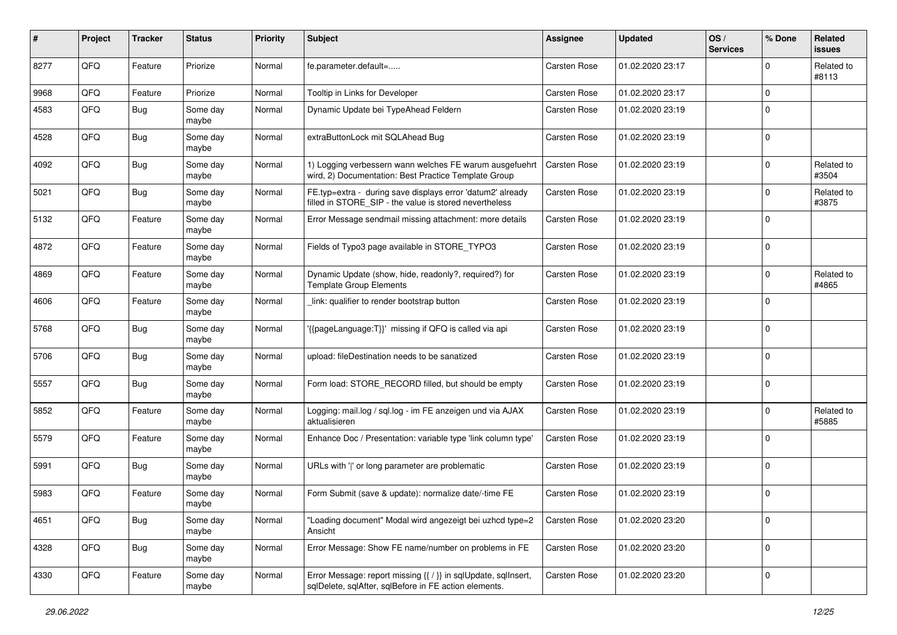| #    | Project | <b>Tracker</b> | <b>Status</b>     | <b>Priority</b> | <b>Subject</b>                                                                                                          | <b>Assignee</b>     | <b>Updated</b>   | OS/<br><b>Services</b> | % Done              | Related<br>issues   |
|------|---------|----------------|-------------------|-----------------|-------------------------------------------------------------------------------------------------------------------------|---------------------|------------------|------------------------|---------------------|---------------------|
| 8277 | QFQ     | Feature        | Priorize          | Normal          | fe.parameter.default=                                                                                                   | Carsten Rose        | 01.02.2020 23:17 |                        | 0                   | Related to<br>#8113 |
| 9968 | QFQ     | Feature        | Priorize          | Normal          | Tooltip in Links for Developer                                                                                          | Carsten Rose        | 01.02.2020 23:17 |                        | $\mathbf 0$         |                     |
| 4583 | QFQ     | Bug            | Some day<br>maybe | Normal          | Dynamic Update bei TypeAhead Feldern                                                                                    | Carsten Rose        | 01.02.2020 23:19 |                        | $\mathbf 0$         |                     |
| 4528 | QFQ     | <b>Bug</b>     | Some day<br>maybe | Normal          | extraButtonLock mit SQLAhead Bug                                                                                        | Carsten Rose        | 01.02.2020 23:19 |                        | 0                   |                     |
| 4092 | QFQ     | <b>Bug</b>     | Some day<br>maybe | Normal          | 1) Logging verbessern wann welches FE warum ausgefuehrt<br>wird, 2) Documentation: Best Practice Template Group         | <b>Carsten Rose</b> | 01.02.2020 23:19 |                        | $\mathbf 0$         | Related to<br>#3504 |
| 5021 | QFQ     | <b>Bug</b>     | Some day<br>maybe | Normal          | FE.typ=extra - during save displays error 'datum2' already<br>filled in STORE_SIP - the value is stored nevertheless    | Carsten Rose        | 01.02.2020 23:19 |                        | $\mathbf 0$         | Related to<br>#3875 |
| 5132 | QFQ     | Feature        | Some day<br>maybe | Normal          | Error Message sendmail missing attachment: more details                                                                 | Carsten Rose        | 01.02.2020 23:19 |                        | $\mathbf 0$         |                     |
| 4872 | QFQ     | Feature        | Some day<br>maybe | Normal          | Fields of Typo3 page available in STORE TYPO3                                                                           | Carsten Rose        | 01.02.2020 23:19 |                        | $\mathbf 0$         |                     |
| 4869 | QFQ     | Feature        | Some day<br>maybe | Normal          | Dynamic Update (show, hide, readonly?, required?) for<br><b>Template Group Elements</b>                                 | Carsten Rose        | 01.02.2020 23:19 |                        | 0                   | Related to<br>#4865 |
| 4606 | QFQ     | Feature        | Some day<br>maybe | Normal          | link: qualifier to render bootstrap button                                                                              | Carsten Rose        | 01.02.2020 23:19 |                        | $\mathbf 0$         |                     |
| 5768 | QFQ     | Bug            | Some day<br>maybe | Normal          | '{{pageLanguage:T}}' missing if QFQ is called via api                                                                   | Carsten Rose        | 01.02.2020 23:19 |                        | $\mathbf 0$         |                     |
| 5706 | QFQ     | Bug            | Some day<br>maybe | Normal          | upload: fileDestination needs to be sanatized                                                                           | <b>Carsten Rose</b> | 01.02.2020 23:19 |                        | 0                   |                     |
| 5557 | QFQ     | <b>Bug</b>     | Some day<br>maybe | Normal          | Form load: STORE RECORD filled, but should be empty                                                                     | Carsten Rose        | 01.02.2020 23:19 |                        | $\mathbf 0$         |                     |
| 5852 | QFQ     | Feature        | Some day<br>maybe | Normal          | Logging: mail.log / sql.log - im FE anzeigen und via AJAX<br>aktualisieren                                              | Carsten Rose        | 01.02.2020 23:19 |                        | $\mathbf 0$         | Related to<br>#5885 |
| 5579 | QFQ     | Feature        | Some day<br>maybe | Normal          | Enhance Doc / Presentation: variable type 'link column type'                                                            | Carsten Rose        | 01.02.2020 23:19 |                        | 0                   |                     |
| 5991 | QFQ     | Bug            | Some day<br>maybe | Normal          | URLs with ' ' or long parameter are problematic                                                                         | Carsten Rose        | 01.02.2020 23:19 |                        | $\mathbf 0$         |                     |
| 5983 | QFQ     | Feature        | Some day<br>maybe | Normal          | Form Submit (save & update): normalize date/-time FE                                                                    | Carsten Rose        | 01.02.2020 23:19 |                        | $\mathbf 0$         |                     |
| 4651 | QFQ     | <b>Bug</b>     | Some day<br>maybe | Normal          | "Loading document" Modal wird angezeigt bei uzhcd type=2<br>Ansicht                                                     | Carsten Rose        | 01.02.2020 23:20 |                        | 0                   |                     |
| 4328 | QFQ     | <b>Bug</b>     | Some day<br>maybe | Normal          | Error Message: Show FE name/number on problems in FE                                                                    | Carsten Rose        | 01.02.2020 23:20 |                        | $\mathsf{O}\xspace$ |                     |
| 4330 | QFQ     | Feature        | Some day<br>maybe | Normal          | Error Message: report missing {{ / }} in sqlUpdate, sqlInsert,<br>sqlDelete, sqlAfter, sqlBefore in FE action elements. | Carsten Rose        | 01.02.2020 23:20 |                        | 0                   |                     |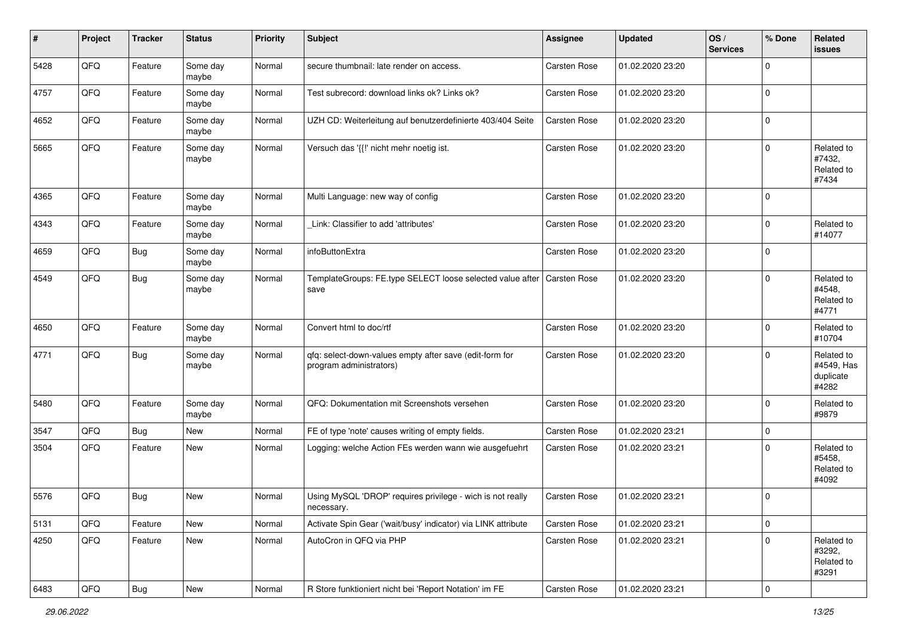| #    | Project        | <b>Tracker</b> | <b>Status</b>     | <b>Priority</b> | Subject                                                                            | Assignee            | <b>Updated</b>   | OS/<br><b>Services</b> | % Done      | Related<br>issues                              |
|------|----------------|----------------|-------------------|-----------------|------------------------------------------------------------------------------------|---------------------|------------------|------------------------|-------------|------------------------------------------------|
| 5428 | QFQ            | Feature        | Some day<br>maybe | Normal          | secure thumbnail: late render on access.                                           | Carsten Rose        | 01.02.2020 23:20 |                        | 0           |                                                |
| 4757 | QFQ            | Feature        | Some day<br>maybe | Normal          | Test subrecord: download links ok? Links ok?                                       | Carsten Rose        | 01.02.2020 23:20 |                        | $\mathbf 0$ |                                                |
| 4652 | QFQ            | Feature        | Some day<br>maybe | Normal          | UZH CD: Weiterleitung auf benutzerdefinierte 403/404 Seite                         | <b>Carsten Rose</b> | 01.02.2020 23:20 |                        | 0           |                                                |
| 5665 | QFQ            | Feature        | Some day<br>maybe | Normal          | Versuch das '{{!' nicht mehr noetig ist.                                           | Carsten Rose        | 01.02.2020 23:20 |                        | $\Omega$    | Related to<br>#7432,<br>Related to<br>#7434    |
| 4365 | QFQ            | Feature        | Some day<br>maybe | Normal          | Multi Language: new way of config                                                  | Carsten Rose        | 01.02.2020 23:20 |                        | 0           |                                                |
| 4343 | QFQ            | Feature        | Some day<br>maybe | Normal          | Link: Classifier to add 'attributes'                                               | <b>Carsten Rose</b> | 01.02.2020 23:20 |                        | 0           | Related to<br>#14077                           |
| 4659 | QFQ            | <b>Bug</b>     | Some day<br>maybe | Normal          | infoButtonExtra                                                                    | <b>Carsten Rose</b> | 01.02.2020 23:20 |                        | $\mathbf 0$ |                                                |
| 4549 | QFQ            | <b>Bug</b>     | Some day<br>maybe | Normal          | TemplateGroups: FE.type SELECT loose selected value after Carsten Rose<br>save     |                     | 01.02.2020 23:20 |                        | $\Omega$    | Related to<br>#4548,<br>Related to<br>#4771    |
| 4650 | QFQ            | Feature        | Some day<br>maybe | Normal          | Convert html to doc/rtf                                                            | <b>Carsten Rose</b> | 01.02.2020 23:20 |                        | $\mathbf 0$ | Related to<br>#10704                           |
| 4771 | QFQ            | <b>Bug</b>     | Some day<br>maybe | Normal          | qfq: select-down-values empty after save (edit-form for<br>program administrators) | <b>Carsten Rose</b> | 01.02.2020 23:20 |                        | $\Omega$    | Related to<br>#4549, Has<br>duplicate<br>#4282 |
| 5480 | QFQ            | Feature        | Some day<br>maybe | Normal          | QFQ: Dokumentation mit Screenshots versehen                                        | Carsten Rose        | 01.02.2020 23:20 |                        | $\mathbf 0$ | Related to<br>#9879                            |
| 3547 | QFQ            | <b>Bug</b>     | New               | Normal          | FE of type 'note' causes writing of empty fields.                                  | <b>Carsten Rose</b> | 01.02.2020 23:21 |                        | $\mathbf 0$ |                                                |
| 3504 | QFQ            | Feature        | New               | Normal          | Logging: welche Action FEs werden wann wie ausgefuehrt                             | <b>Carsten Rose</b> | 01.02.2020 23:21 |                        | $\Omega$    | Related to<br>#5458,<br>Related to<br>#4092    |
| 5576 | QFQ            | <b>Bug</b>     | New               | Normal          | Using MySQL 'DROP' requires privilege - wich is not really<br>necessary.           | Carsten Rose        | 01.02.2020 23:21 |                        | $\Omega$    |                                                |
| 5131 | QFQ            | Feature        | New               | Normal          | Activate Spin Gear ('wait/busy' indicator) via LINK attribute                      | <b>Carsten Rose</b> | 01.02.2020 23:21 |                        | 0           |                                                |
| 4250 | QFQ            | Feature        | New               | Normal          | AutoCron in QFQ via PHP                                                            | Carsten Rose        | 01.02.2020 23:21 |                        | $\mathbf 0$ | Related to<br>#3292,<br>Related to<br>#3291    |
| 6483 | $\mathsf{QFQ}$ | <b>Bug</b>     | New               | Normal          | R Store funktioniert nicht bei 'Report Notation' im FE                             | Carsten Rose        | 01.02.2020 23:21 |                        | 0           |                                                |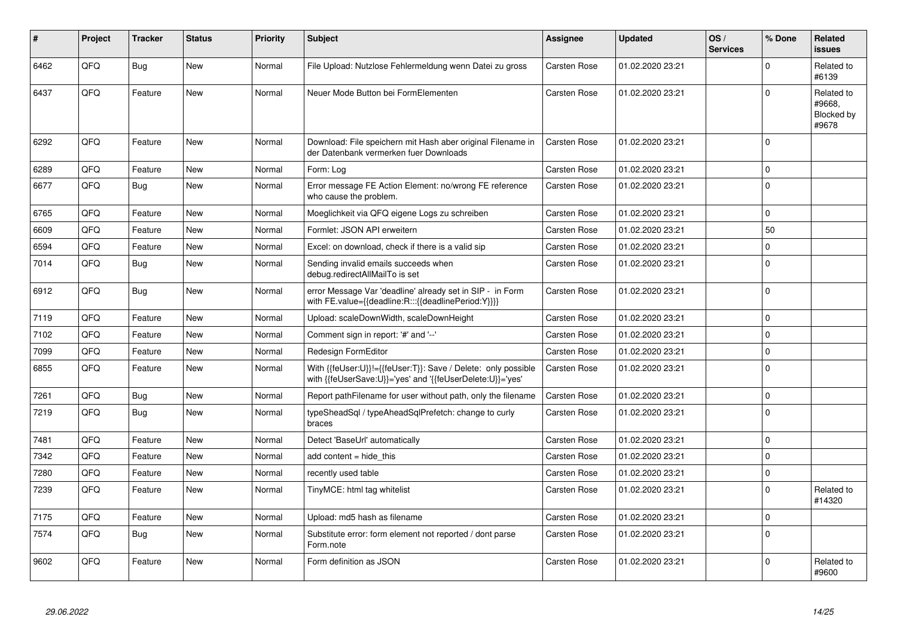| #    | Project | <b>Tracker</b> | <b>Status</b> | <b>Priority</b> | <b>Subject</b>                                                                                                             | Assignee            | <b>Updated</b>   | OS/<br><b>Services</b> | % Done      | Related<br><b>issues</b>                    |
|------|---------|----------------|---------------|-----------------|----------------------------------------------------------------------------------------------------------------------------|---------------------|------------------|------------------------|-------------|---------------------------------------------|
| 6462 | QFQ     | Bug            | <b>New</b>    | Normal          | File Upload: Nutzlose Fehlermeldung wenn Datei zu gross                                                                    | <b>Carsten Rose</b> | 01.02.2020 23:21 |                        | $\Omega$    | Related to<br>#6139                         |
| 6437 | QFQ     | Feature        | <b>New</b>    | Normal          | Neuer Mode Button bei FormElementen                                                                                        | Carsten Rose        | 01.02.2020 23:21 |                        | $\Omega$    | Related to<br>#9668,<br>Blocked by<br>#9678 |
| 6292 | QFQ     | Feature        | New           | Normal          | Download: File speichern mit Hash aber original Filename in<br>der Datenbank vermerken fuer Downloads                      | Carsten Rose        | 01.02.2020 23:21 |                        | $\Omega$    |                                             |
| 6289 | QFQ     | Feature        | <b>New</b>    | Normal          | Form: Log                                                                                                                  | Carsten Rose        | 01.02.2020 23:21 |                        | $\Omega$    |                                             |
| 6677 | QFQ     | <b>Bug</b>     | New           | Normal          | Error message FE Action Element: no/wrong FE reference<br>who cause the problem.                                           | Carsten Rose        | 01.02.2020 23:21 |                        | $\Omega$    |                                             |
| 6765 | QFQ     | Feature        | New           | Normal          | Moeglichkeit via QFQ eigene Logs zu schreiben                                                                              | <b>Carsten Rose</b> | 01.02.2020 23:21 |                        | $\mathbf 0$ |                                             |
| 6609 | QFQ     | Feature        | New           | Normal          | Formlet: JSON API erweitern                                                                                                | Carsten Rose        | 01.02.2020 23:21 |                        | 50          |                                             |
| 6594 | QFQ     | Feature        | New           | Normal          | Excel: on download, check if there is a valid sip                                                                          | Carsten Rose        | 01.02.2020 23:21 |                        | $\mathbf 0$ |                                             |
| 7014 | QFQ     | Bug            | New           | Normal          | Sending invalid emails succeeds when<br>debug.redirectAllMailTo is set                                                     | Carsten Rose        | 01.02.2020 23:21 |                        | $\Omega$    |                                             |
| 6912 | QFQ     | <b>Bug</b>     | New           | Normal          | error Message Var 'deadline' already set in SIP - in Form<br>with FE.value={{deadline:R:::{{deadlinePeriod:Y}}}}           | Carsten Rose        | 01.02.2020 23:21 |                        | $\Omega$    |                                             |
| 7119 | QFQ     | Feature        | New           | Normal          | Upload: scaleDownWidth, scaleDownHeight                                                                                    | Carsten Rose        | 01.02.2020 23:21 |                        | $\mathbf 0$ |                                             |
| 7102 | QFQ     | Feature        | <b>New</b>    | Normal          | Comment sign in report: '#' and '--'                                                                                       | Carsten Rose        | 01.02.2020 23:21 |                        | $\Omega$    |                                             |
| 7099 | QFQ     | Feature        | New           | Normal          | Redesign FormEditor                                                                                                        | <b>Carsten Rose</b> | 01.02.2020 23:21 |                        | $\mathbf 0$ |                                             |
| 6855 | QFQ     | Feature        | New           | Normal          | With {{feUser:U}}!={{feUser:T}}: Save / Delete: only possible<br>with {{feUserSave:U}}='yes' and '{{feUserDelete:U}}='yes' | <b>Carsten Rose</b> | 01.02.2020 23:21 |                        | $\Omega$    |                                             |
| 7261 | QFQ     | <b>Bug</b>     | <b>New</b>    | Normal          | Report pathFilename for user without path, only the filename                                                               | <b>Carsten Rose</b> | 01.02.2020 23:21 |                        | $\mathbf 0$ |                                             |
| 7219 | QFQ     | Bug            | New           | Normal          | typeSheadSql / typeAheadSqlPrefetch: change to curly<br>braces                                                             | Carsten Rose        | 01.02.2020 23:21 |                        | $\mathbf 0$ |                                             |
| 7481 | QFQ     | Feature        | New           | Normal          | Detect 'BaseUrl' automatically                                                                                             | <b>Carsten Rose</b> | 01.02.2020 23:21 |                        | $\mathbf 0$ |                                             |
| 7342 | QFQ     | Feature        | New           | Normal          | add content = hide this                                                                                                    | <b>Carsten Rose</b> | 01.02.2020 23:21 |                        | $\mathbf 0$ |                                             |
| 7280 | QFQ     | Feature        | New           | Normal          | recently used table                                                                                                        | <b>Carsten Rose</b> | 01.02.2020 23:21 |                        | $\Omega$    |                                             |
| 7239 | QFQ     | Feature        | New           | Normal          | TinyMCE: html tag whitelist                                                                                                | Carsten Rose        | 01.02.2020 23:21 |                        | $\mathbf 0$ | Related to<br>#14320                        |
| 7175 | QFQ     | Feature        | New           | Normal          | Upload: md5 hash as filename                                                                                               | <b>Carsten Rose</b> | 01.02.2020 23:21 |                        | $\mathbf 0$ |                                             |
| 7574 | QFQ     | <b>Bug</b>     | <b>New</b>    | Normal          | Substitute error: form element not reported / dont parse<br>Form.note                                                      | Carsten Rose        | 01.02.2020 23:21 |                        | $\Omega$    |                                             |
| 9602 | QFQ     | Feature        | New           | Normal          | Form definition as JSON                                                                                                    | <b>Carsten Rose</b> | 01.02.2020 23:21 |                        | $\Omega$    | Related to<br>#9600                         |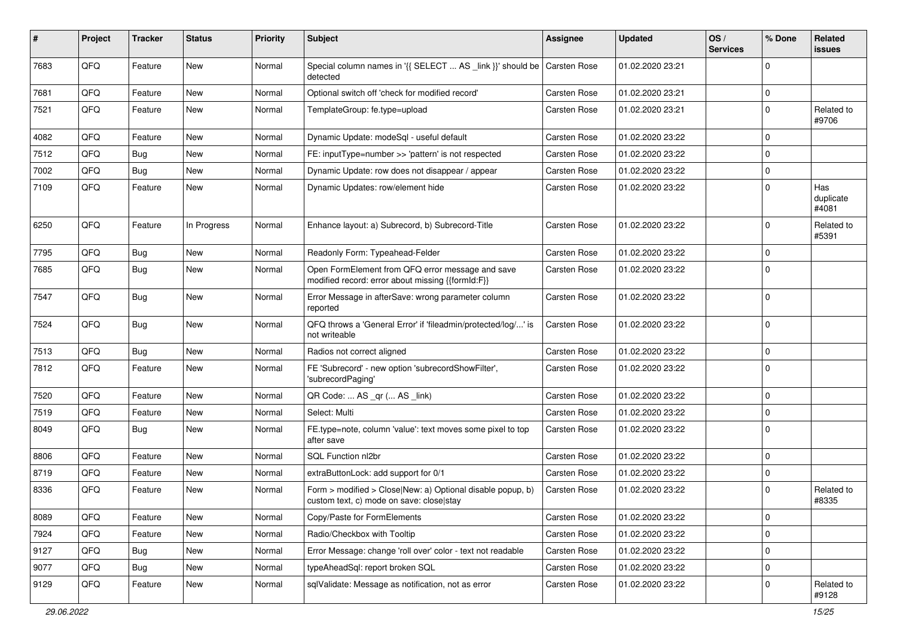| #    | Project | <b>Tracker</b> | <b>Status</b> | <b>Priority</b> | Subject                                                                                                | <b>Assignee</b>     | <b>Updated</b>   | OS/<br><b>Services</b> | % Done      | Related<br>issues         |
|------|---------|----------------|---------------|-----------------|--------------------------------------------------------------------------------------------------------|---------------------|------------------|------------------------|-------------|---------------------------|
| 7683 | QFQ     | Feature        | New           | Normal          | Special column names in '{{ SELECT  AS _link }}' should be<br>detected                                 | <b>Carsten Rose</b> | 01.02.2020 23:21 |                        | 0           |                           |
| 7681 | QFQ     | Feature        | New           | Normal          | Optional switch off 'check for modified record'                                                        | <b>Carsten Rose</b> | 01.02.2020 23:21 |                        | 0           |                           |
| 7521 | QFQ     | Feature        | New           | Normal          | TemplateGroup: fe.type=upload                                                                          | Carsten Rose        | 01.02.2020 23:21 |                        | $\mathbf 0$ | Related to<br>#9706       |
| 4082 | QFQ     | Feature        | <b>New</b>    | Normal          | Dynamic Update: modeSql - useful default                                                               | Carsten Rose        | 01.02.2020 23:22 |                        | $\mathbf 0$ |                           |
| 7512 | QFQ     | <b>Bug</b>     | New           | Normal          | FE: inputType=number >> 'pattern' is not respected                                                     | <b>Carsten Rose</b> | 01.02.2020 23:22 |                        | 0           |                           |
| 7002 | QFQ     | Bug            | New           | Normal          | Dynamic Update: row does not disappear / appear                                                        | Carsten Rose        | 01.02.2020 23:22 |                        | 0           |                           |
| 7109 | QFQ     | Feature        | New           | Normal          | Dynamic Updates: row/element hide                                                                      | Carsten Rose        | 01.02.2020 23:22 |                        | 0           | Has<br>duplicate<br>#4081 |
| 6250 | QFQ     | Feature        | In Progress   | Normal          | Enhance layout: a) Subrecord, b) Subrecord-Title                                                       | Carsten Rose        | 01.02.2020 23:22 |                        | $\mathbf 0$ | Related to<br>#5391       |
| 7795 | QFQ     | Bug            | New           | Normal          | Readonly Form: Typeahead-Felder                                                                        | Carsten Rose        | 01.02.2020 23:22 |                        | 0           |                           |
| 7685 | QFQ     | <b>Bug</b>     | New           | Normal          | Open FormElement from QFQ error message and save<br>modified record: error about missing {{formId:F}}  | Carsten Rose        | 01.02.2020 23:22 |                        | 0           |                           |
| 7547 | QFQ     | Bug            | New           | Normal          | Error Message in afterSave: wrong parameter column<br>reported                                         | Carsten Rose        | 01.02.2020 23:22 |                        | $\mathbf 0$ |                           |
| 7524 | QFQ     | Bug            | New           | Normal          | QFQ throws a 'General Error' if 'fileadmin/protected/log/' is<br>not writeable                         | <b>Carsten Rose</b> | 01.02.2020 23:22 |                        | 0           |                           |
| 7513 | QFQ     | Bug            | New           | Normal          | Radios not correct aligned                                                                             | <b>Carsten Rose</b> | 01.02.2020 23:22 |                        | 0           |                           |
| 7812 | QFQ     | Feature        | New           | Normal          | FE 'Subrecord' - new option 'subrecordShowFilter',<br>'subrecordPaging'                                | Carsten Rose        | 01.02.2020 23:22 |                        | 0           |                           |
| 7520 | QFQ     | Feature        | <b>New</b>    | Normal          | QR Code:  AS _qr ( AS _link)                                                                           | <b>Carsten Rose</b> | 01.02.2020 23:22 |                        | $\mathbf 0$ |                           |
| 7519 | QFQ     | Feature        | New           | Normal          | Select: Multi                                                                                          | <b>Carsten Rose</b> | 01.02.2020 23:22 |                        | 0           |                           |
| 8049 | QFQ     | Bug            | New           | Normal          | FE.type=note, column 'value': text moves some pixel to top<br>after save                               | Carsten Rose        | 01.02.2020 23:22 |                        | $\mathbf 0$ |                           |
| 8806 | QFQ     | Feature        | <b>New</b>    | Normal          | SQL Function nl2br                                                                                     | <b>Carsten Rose</b> | 01.02.2020 23:22 |                        | 0           |                           |
| 8719 | QFQ     | Feature        | New           | Normal          | extraButtonLock: add support for 0/1                                                                   | <b>Carsten Rose</b> | 01.02.2020 23:22 |                        | 0           |                           |
| 8336 | QFQ     | Feature        | New           | Normal          | Form > modified > Close New: a) Optional disable popup, b)<br>custom text, c) mode on save: closelstay | Carsten Rose        | 01.02.2020 23:22 |                        | $\mathbf 0$ | Related to<br>#8335       |
| 8089 | QFQ     | Feature        | New           | Normal          | Copy/Paste for FormElements                                                                            | Carsten Rose        | 01.02.2020 23:22 |                        | $\mathbf 0$ |                           |
| 7924 | QFQ     | Feature        | New           | Normal          | Radio/Checkbox with Tooltip                                                                            | Carsten Rose        | 01.02.2020 23:22 |                        | 0           |                           |
| 9127 | QFQ     | <b>Bug</b>     | New           | Normal          | Error Message: change 'roll over' color - text not readable                                            | Carsten Rose        | 01.02.2020 23:22 |                        | 0           |                           |
| 9077 | QFQ     | <b>Bug</b>     | New           | Normal          | typeAheadSql: report broken SQL                                                                        | Carsten Rose        | 01.02.2020 23:22 |                        | 0           |                           |
| 9129 | QFQ     | Feature        | New           | Normal          | sqlValidate: Message as notification, not as error                                                     | Carsten Rose        | 01.02.2020 23:22 |                        | 0           | Related to<br>#9128       |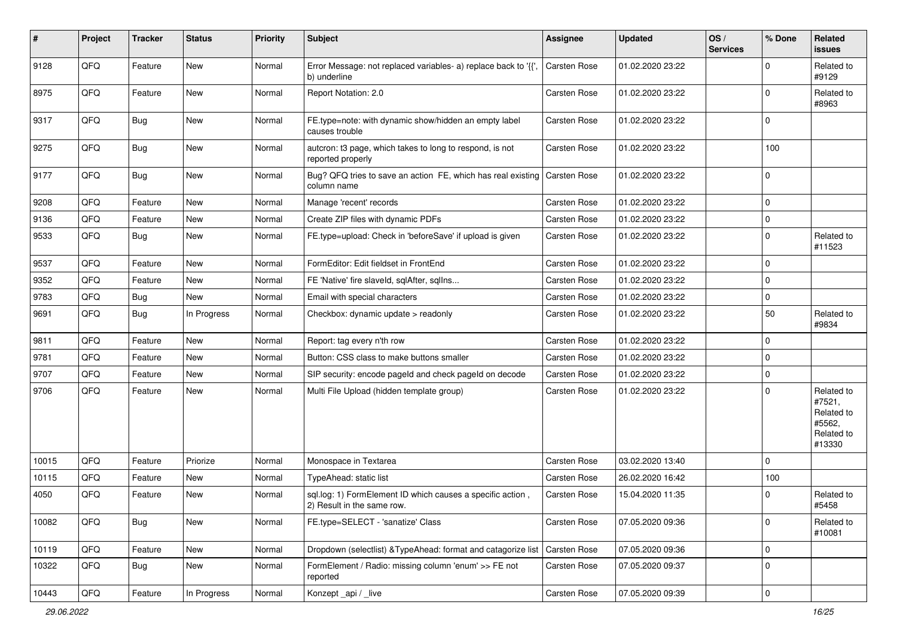| #     | Project | <b>Tracker</b> | <b>Status</b> | <b>Priority</b> | <b>Subject</b>                                                                           | Assignee            | <b>Updated</b>   | OS/<br><b>Services</b> | % Done      | Related<br>issues                                                    |
|-------|---------|----------------|---------------|-----------------|------------------------------------------------------------------------------------------|---------------------|------------------|------------------------|-------------|----------------------------------------------------------------------|
| 9128  | QFQ     | Feature        | New           | Normal          | Error Message: not replaced variables- a) replace back to '{',<br>b) underline           | <b>Carsten Rose</b> | 01.02.2020 23:22 |                        | $\Omega$    | Related to<br>#9129                                                  |
| 8975  | QFQ     | Feature        | New           | Normal          | Report Notation: 2.0                                                                     | Carsten Rose        | 01.02.2020 23:22 |                        | $\mathbf 0$ | Related to<br>#8963                                                  |
| 9317  | QFQ     | <b>Bug</b>     | New           | Normal          | FE.type=note: with dynamic show/hidden an empty label<br>causes trouble                  | Carsten Rose        | 01.02.2020 23:22 |                        | 0           |                                                                      |
| 9275  | QFQ     | <b>Bug</b>     | New           | Normal          | autcron: t3 page, which takes to long to respond, is not<br>reported properly            | Carsten Rose        | 01.02.2020 23:22 |                        | 100         |                                                                      |
| 9177  | QFQ     | <b>Bug</b>     | New           | Normal          | Bug? QFQ tries to save an action FE, which has real existing<br>column name              | Carsten Rose        | 01.02.2020 23:22 |                        | $\mathbf 0$ |                                                                      |
| 9208  | QFQ     | Feature        | New           | Normal          | Manage 'recent' records                                                                  | Carsten Rose        | 01.02.2020 23:22 |                        | $\mathbf 0$ |                                                                      |
| 9136  | QFQ     | Feature        | New           | Normal          | Create ZIP files with dynamic PDFs                                                       | Carsten Rose        | 01.02.2020 23:22 |                        | $\mathbf 0$ |                                                                      |
| 9533  | QFQ     | Bug            | New           | Normal          | FE.type=upload: Check in 'beforeSave' if upload is given                                 | Carsten Rose        | 01.02.2020 23:22 |                        | 0           | Related to<br>#11523                                                 |
| 9537  | QFQ     | Feature        | <b>New</b>    | Normal          | FormEditor: Edit fieldset in FrontEnd                                                    | Carsten Rose        | 01.02.2020 23:22 |                        | $\mathbf 0$ |                                                                      |
| 9352  | QFQ     | Feature        | New           | Normal          | FE 'Native' fire slaveld, sqlAfter, sqllns                                               | Carsten Rose        | 01.02.2020 23:22 |                        | 0           |                                                                      |
| 9783  | QFQ     | Bug            | New           | Normal          | Email with special characters                                                            | <b>Carsten Rose</b> | 01.02.2020 23:22 |                        | 0           |                                                                      |
| 9691  | QFQ     | Bug            | In Progress   | Normal          | Checkbox: dynamic update > readonly                                                      | Carsten Rose        | 01.02.2020 23:22 |                        | 50          | Related to<br>#9834                                                  |
| 9811  | QFQ     | Feature        | New           | Normal          | Report: tag every n'th row                                                               | Carsten Rose        | 01.02.2020 23:22 |                        | $\mathbf 0$ |                                                                      |
| 9781  | QFQ     | Feature        | New           | Normal          | Button: CSS class to make buttons smaller                                                | <b>Carsten Rose</b> | 01.02.2020 23:22 |                        | $\mathbf 0$ |                                                                      |
| 9707  | QFQ     | Feature        | New           | Normal          | SIP security: encode pageld and check pageld on decode                                   | Carsten Rose        | 01.02.2020 23:22 |                        | 0           |                                                                      |
| 9706  | QFQ     | Feature        | New           | Normal          | Multi File Upload (hidden template group)                                                | Carsten Rose        | 01.02.2020 23:22 |                        | $\Omega$    | Related to<br>#7521,<br>Related to<br>#5562,<br>Related to<br>#13330 |
| 10015 | QFQ     | Feature        | Priorize      | Normal          | Monospace in Textarea                                                                    | Carsten Rose        | 03.02.2020 13:40 |                        | $\Omega$    |                                                                      |
| 10115 | QFQ     | Feature        | New           | Normal          | TypeAhead: static list                                                                   | Carsten Rose        | 26.02.2020 16:42 |                        | 100         |                                                                      |
| 4050  | QFQ     | Feature        | New           | Normal          | sql.log: 1) FormElement ID which causes a specific action,<br>2) Result in the same row. | <b>Carsten Rose</b> | 15.04.2020 11:35 |                        | 0           | Related to<br>#5458                                                  |
| 10082 | QFQ     | <b>Bug</b>     | New           | Normal          | FE.type=SELECT - 'sanatize' Class                                                        | Carsten Rose        | 07.05.2020 09:36 |                        | 0           | Related to<br>#10081                                                 |
| 10119 | QFQ     | Feature        | New           | Normal          | Dropdown (selectlist) & TypeAhead: format and catagorize list                            | Carsten Rose        | 07.05.2020 09:36 |                        | 0           |                                                                      |
| 10322 | QFQ     | <b>Bug</b>     | New           | Normal          | FormElement / Radio: missing column 'enum' >> FE not<br>reported                         | Carsten Rose        | 07.05.2020 09:37 |                        | 0           |                                                                      |
| 10443 | QFQ     | Feature        | In Progress   | Normal          | Konzept_api / _live                                                                      | Carsten Rose        | 07.05.2020 09:39 |                        | $\pmb{0}$   |                                                                      |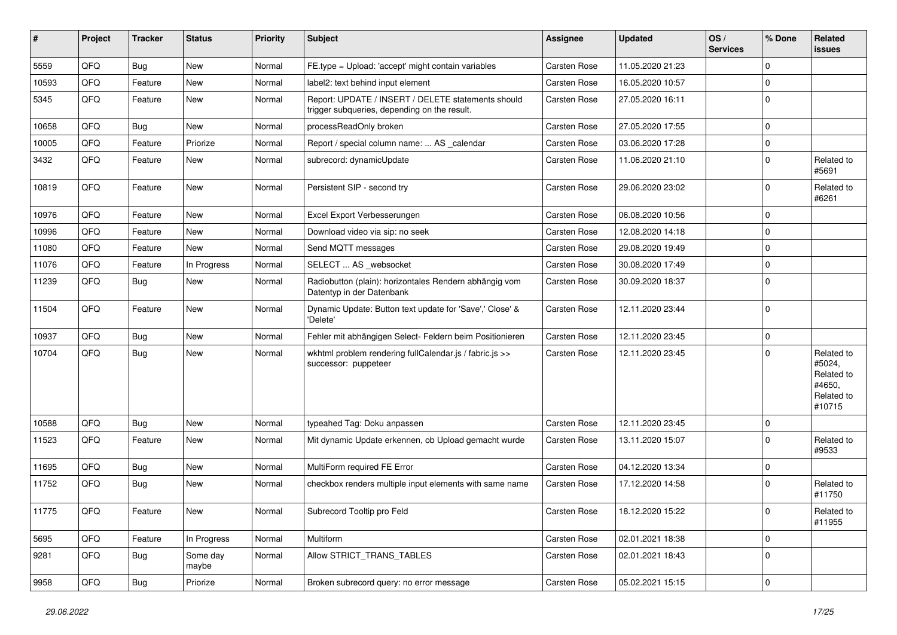| #     | Project | <b>Tracker</b> | <b>Status</b>     | <b>Priority</b> | Subject                                                                                            | Assignee            | <b>Updated</b>   | OS/<br><b>Services</b> | % Done      | Related<br><b>issues</b>                                             |
|-------|---------|----------------|-------------------|-----------------|----------------------------------------------------------------------------------------------------|---------------------|------------------|------------------------|-------------|----------------------------------------------------------------------|
| 5559  | QFQ     | <b>Bug</b>     | <b>New</b>        | Normal          | FE.type = Upload: 'accept' might contain variables                                                 | Carsten Rose        | 11.05.2020 21:23 |                        | $\mathbf 0$ |                                                                      |
| 10593 | QFQ     | Feature        | New               | Normal          | label2: text behind input element                                                                  | <b>Carsten Rose</b> | 16.05.2020 10:57 |                        | $\mathbf 0$ |                                                                      |
| 5345  | QFQ     | Feature        | New               | Normal          | Report: UPDATE / INSERT / DELETE statements should<br>trigger subqueries, depending on the result. | Carsten Rose        | 27.05.2020 16:11 |                        | $\Omega$    |                                                                      |
| 10658 | QFQ     | Bug            | New               | Normal          | processReadOnly broken                                                                             | Carsten Rose        | 27.05.2020 17:55 |                        | $\mathbf 0$ |                                                                      |
| 10005 | QFQ     | Feature        | Priorize          | Normal          | Report / special column name:  AS _calendar                                                        | Carsten Rose        | 03.06.2020 17:28 |                        | $\mathbf 0$ |                                                                      |
| 3432  | QFQ     | Feature        | New               | Normal          | subrecord: dynamicUpdate                                                                           | <b>Carsten Rose</b> | 11.06.2020 21:10 |                        | $\mathbf 0$ | Related to<br>#5691                                                  |
| 10819 | QFQ     | Feature        | <b>New</b>        | Normal          | Persistent SIP - second try                                                                        | Carsten Rose        | 29.06.2020 23:02 |                        | $\mathbf 0$ | Related to<br>#6261                                                  |
| 10976 | QFQ     | Feature        | <b>New</b>        | Normal          | Excel Export Verbesserungen                                                                        | Carsten Rose        | 06.08.2020 10:56 |                        | $\mathbf 0$ |                                                                      |
| 10996 | QFQ     | Feature        | <b>New</b>        | Normal          | Download video via sip: no seek                                                                    | <b>Carsten Rose</b> | 12.08.2020 14:18 |                        | $\mathbf 0$ |                                                                      |
| 11080 | QFQ     | Feature        | New               | Normal          | Send MQTT messages                                                                                 | Carsten Rose        | 29.08.2020 19:49 |                        | $\mathbf 0$ |                                                                      |
| 11076 | QFQ     | Feature        | In Progress       | Normal          | SELECT  AS _websocket                                                                              | Carsten Rose        | 30.08.2020 17:49 |                        | $\mathbf 0$ |                                                                      |
| 11239 | QFQ     | Bug            | <b>New</b>        | Normal          | Radiobutton (plain): horizontales Rendern abhängig vom<br>Datentyp in der Datenbank                | <b>Carsten Rose</b> | 30.09.2020 18:37 |                        | l 0         |                                                                      |
| 11504 | QFQ     | Feature        | New               | Normal          | Dynamic Update: Button text update for 'Save',' Close' &<br>'Delete'                               | Carsten Rose        | 12.11.2020 23:44 |                        | $\mathbf 0$ |                                                                      |
| 10937 | QFQ     | <b>Bug</b>     | <b>New</b>        | Normal          | Fehler mit abhängigen Select- Feldern beim Positionieren                                           | Carsten Rose        | 12.11.2020 23:45 |                        | $\mathbf 0$ |                                                                      |
| 10704 | QFQ     | <b>Bug</b>     | <b>New</b>        | Normal          | wkhtml problem rendering fullCalendar.js / fabric.js >><br>successor: puppeteer                    | Carsten Rose        | 12.11.2020 23:45 |                        | $\Omega$    | Related to<br>#5024,<br>Related to<br>#4650,<br>Related to<br>#10715 |
| 10588 | QFQ     | Bug            | <b>New</b>        | Normal          | typeahed Tag: Doku anpassen                                                                        | Carsten Rose        | 12.11.2020 23:45 |                        | $\mathbf 0$ |                                                                      |
| 11523 | QFQ     | Feature        | New               | Normal          | Mit dynamic Update erkennen, ob Upload gemacht wurde                                               | Carsten Rose        | 13.11.2020 15:07 |                        | $\Omega$    | Related to<br>#9533                                                  |
| 11695 | QFQ     | <b>Bug</b>     | <b>New</b>        | Normal          | MultiForm required FE Error                                                                        | Carsten Rose        | 04.12.2020 13:34 |                        | $\mathbf 0$ |                                                                      |
| 11752 | QFQ     | <b>Bug</b>     | New               | Normal          | checkbox renders multiple input elements with same name                                            | Carsten Rose        | 17.12.2020 14:58 |                        | $\Omega$    | Related to<br>#11750                                                 |
| 11775 | QFQ     | Feature        | New               | Normal          | Subrecord Tooltip pro Feld                                                                         | Carsten Rose        | 18.12.2020 15:22 |                        | 0           | Related to<br>#11955                                                 |
| 5695  | QFQ     | Feature        | In Progress       | Normal          | Multiform                                                                                          | Carsten Rose        | 02.01.2021 18:38 |                        | $\mathbf 0$ |                                                                      |
| 9281  | QFQ     | <b>Bug</b>     | Some day<br>maybe | Normal          | Allow STRICT_TRANS_TABLES                                                                          | Carsten Rose        | 02.01.2021 18:43 |                        | $\mathbf 0$ |                                                                      |
| 9958  | QFG     | <b>Bug</b>     | Priorize          | Normal          | Broken subrecord query: no error message                                                           | Carsten Rose        | 05.02.2021 15:15 |                        | $\mathbf 0$ |                                                                      |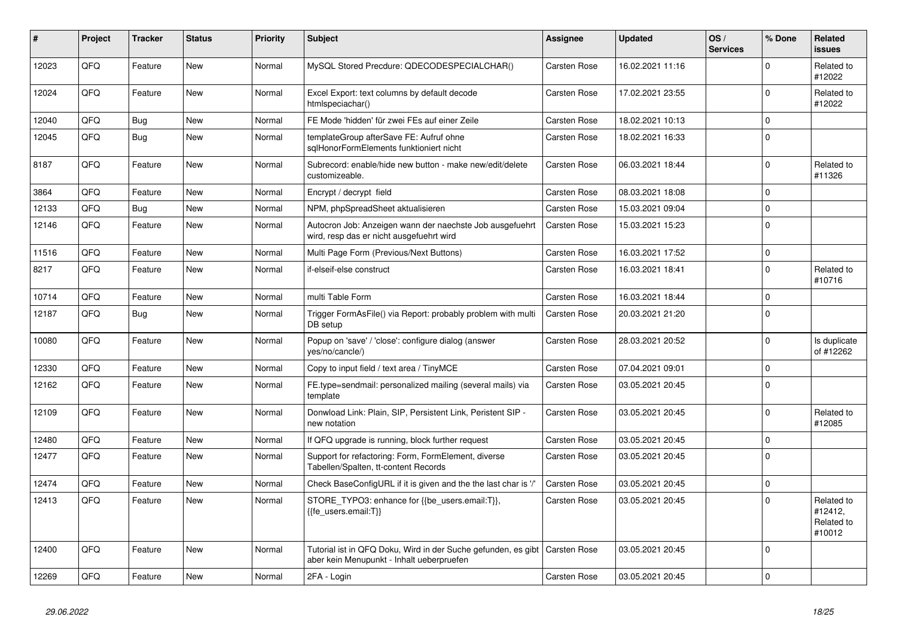| #     | Project | <b>Tracker</b> | <b>Status</b> | <b>Priority</b> | <b>Subject</b>                                                                                             | Assignee            | <b>Updated</b>   | OS/<br><b>Services</b> | % Done       | Related<br>issues                             |
|-------|---------|----------------|---------------|-----------------|------------------------------------------------------------------------------------------------------------|---------------------|------------------|------------------------|--------------|-----------------------------------------------|
| 12023 | QFQ     | Feature        | <b>New</b>    | Normal          | MySQL Stored Precdure: QDECODESPECIALCHAR()                                                                | <b>Carsten Rose</b> | 16.02.2021 11:16 |                        | $\Omega$     | Related to<br>#12022                          |
| 12024 | QFQ     | Feature        | <b>New</b>    | Normal          | Excel Export: text columns by default decode<br>htmlspeciachar()                                           | Carsten Rose        | 17.02.2021 23:55 |                        | $\mathbf{0}$ | Related to<br>#12022                          |
| 12040 | QFQ     | <b>Bug</b>     | <b>New</b>    | Normal          | FE Mode 'hidden' für zwei FEs auf einer Zeile                                                              | <b>Carsten Rose</b> | 18.02.2021 10:13 |                        | $\mathbf 0$  |                                               |
| 12045 | QFQ     | <b>Bug</b>     | New           | Normal          | templateGroup afterSave FE: Aufruf ohne<br>sqlHonorFormElements funktioniert nicht                         | Carsten Rose        | 18.02.2021 16:33 |                        | 0            |                                               |
| 8187  | QFQ     | Feature        | New           | Normal          | Subrecord: enable/hide new button - make new/edit/delete<br>customizeable.                                 | <b>Carsten Rose</b> | 06.03.2021 18:44 |                        | $\mathbf 0$  | Related to<br>#11326                          |
| 3864  | QFQ     | Feature        | <b>New</b>    | Normal          | Encrypt / decrypt field                                                                                    | <b>Carsten Rose</b> | 08.03.2021 18:08 |                        | $\mathbf 0$  |                                               |
| 12133 | QFQ     | <b>Bug</b>     | New           | Normal          | NPM, phpSpreadSheet aktualisieren                                                                          | Carsten Rose        | 15.03.2021 09:04 |                        | $\mathbf 0$  |                                               |
| 12146 | QFQ     | Feature        | New           | Normal          | Autocron Job: Anzeigen wann der naechste Job ausgefuehrt<br>wird, resp das er nicht ausgefuehrt wird       | Carsten Rose        | 15.03.2021 15:23 |                        | $\Omega$     |                                               |
| 11516 | QFQ     | Feature        | <b>New</b>    | Normal          | Multi Page Form (Previous/Next Buttons)                                                                    | Carsten Rose        | 16.03.2021 17:52 |                        | $\mathbf 0$  |                                               |
| 8217  | QFQ     | Feature        | New           | Normal          | if-elseif-else construct                                                                                   | Carsten Rose        | 16.03.2021 18:41 |                        | $\mathbf 0$  | Related to<br>#10716                          |
| 10714 | QFQ     | Feature        | <b>New</b>    | Normal          | multi Table Form                                                                                           | Carsten Rose        | 16.03.2021 18:44 |                        | $\mathbf 0$  |                                               |
| 12187 | QFQ     | <b>Bug</b>     | New           | Normal          | Trigger FormAsFile() via Report: probably problem with multi<br>DB setup                                   | Carsten Rose        | 20.03.2021 21:20 |                        | $\mathbf 0$  |                                               |
| 10080 | QFQ     | Feature        | New           | Normal          | Popup on 'save' / 'close': configure dialog (answer<br>yes/no/cancle/)                                     | Carsten Rose        | 28.03.2021 20:52 |                        | $\Omega$     | Is duplicate<br>of #12262                     |
| 12330 | QFQ     | Feature        | <b>New</b>    | Normal          | Copy to input field / text area / TinyMCE                                                                  | Carsten Rose        | 07.04.2021 09:01 |                        | $\mathbf 0$  |                                               |
| 12162 | QFQ     | Feature        | <b>New</b>    | Normal          | FE.type=sendmail: personalized mailing (several mails) via<br>template                                     | <b>Carsten Rose</b> | 03.05.2021 20:45 |                        | $\Omega$     |                                               |
| 12109 | QFQ     | Feature        | <b>New</b>    | Normal          | Donwload Link: Plain, SIP, Persistent Link, Peristent SIP -<br>new notation                                | Carsten Rose        | 03.05.2021 20:45 |                        | $\mathbf 0$  | Related to<br>#12085                          |
| 12480 | QFQ     | Feature        | New           | Normal          | If QFQ upgrade is running, block further request                                                           | <b>Carsten Rose</b> | 03.05.2021 20:45 |                        | $\Omega$     |                                               |
| 12477 | QFQ     | Feature        | <b>New</b>    | Normal          | Support for refactoring: Form, FormElement, diverse<br>Tabellen/Spalten, tt-content Records                | Carsten Rose        | 03.05.2021 20:45 |                        | $\Omega$     |                                               |
| 12474 | QFQ     | Feature        | New           | Normal          | Check BaseConfigURL if it is given and the the last char is '/'                                            | <b>Carsten Rose</b> | 03.05.2021 20:45 |                        | $\mathbf 0$  |                                               |
| 12413 | QFQ     | Feature        | New           | Normal          | STORE_TYPO3: enhance for {{be_users.email:T}},<br>{{fe users.email:T}}                                     | Carsten Rose        | 03.05.2021 20:45 |                        | $\Omega$     | Related to<br>#12412,<br>Related to<br>#10012 |
| 12400 | QFQ     | Feature        | <b>New</b>    | Normal          | Tutorial ist in QFQ Doku, Wird in der Suche gefunden, es gibt<br>aber kein Menupunkt - Inhalt ueberpruefen | <b>Carsten Rose</b> | 03.05.2021 20:45 |                        | $\Omega$     |                                               |
| 12269 | QFQ     | Feature        | New           | Normal          | 2FA - Login                                                                                                | Carsten Rose        | 03.05.2021 20:45 |                        | 0            |                                               |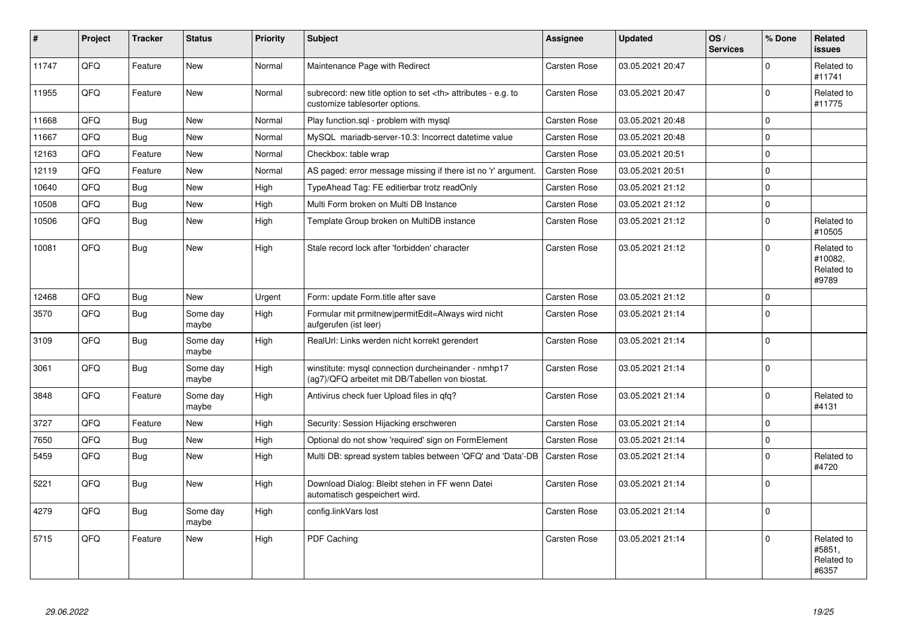| $\vert$ # | Project | <b>Tracker</b> | <b>Status</b>     | <b>Priority</b> | <b>Subject</b>                                                                                         | Assignee                                               | <b>Updated</b>   | OS/<br><b>Services</b> | % Done         | Related<br>issues                            |                      |
|-----------|---------|----------------|-------------------|-----------------|--------------------------------------------------------------------------------------------------------|--------------------------------------------------------|------------------|------------------------|----------------|----------------------------------------------|----------------------|
| 11747     | QFQ     | Feature        | New               | Normal          | Maintenance Page with Redirect                                                                         | <b>Carsten Rose</b>                                    | 03.05.2021 20:47 |                        | $\Omega$       | Related to<br>#11741                         |                      |
| 11955     | QFQ     | Feature        | <b>New</b>        | Normal          | subrecord: new title option to set <th> attributes - e.g. to<br/>customize tablesorter options.</th>   | attributes - e.g. to<br>customize tablesorter options. | Carsten Rose     | 03.05.2021 20:47       |                | $\Omega$                                     | Related to<br>#11775 |
| 11668     | QFQ     | <b>Bug</b>     | <b>New</b>        | Normal          | Play function.sql - problem with mysql                                                                 | Carsten Rose                                           | 03.05.2021 20:48 |                        | $\overline{0}$ |                                              |                      |
| 11667     | QFQ     | <b>Bug</b>     | New               | Normal          | MySQL mariadb-server-10.3: Incorrect datetime value                                                    | Carsten Rose                                           | 03.05.2021 20:48 |                        | $\Omega$       |                                              |                      |
| 12163     | QFQ     | Feature        | New               | Normal          | Checkbox: table wrap                                                                                   | Carsten Rose                                           | 03.05.2021 20:51 |                        | $\Omega$       |                                              |                      |
| 12119     | QFQ     | Feature        | New               | Normal          | AS paged: error message missing if there ist no 'r' argument.                                          | Carsten Rose                                           | 03.05.2021 20:51 |                        | $\Omega$       |                                              |                      |
| 10640     | QFQ     | <b>Bug</b>     | New               | High            | TypeAhead Tag: FE editierbar trotz readOnly                                                            | Carsten Rose                                           | 03.05.2021 21:12 |                        | $\mathbf 0$    |                                              |                      |
| 10508     | QFQ     | Bug            | New               | High            | Multi Form broken on Multi DB Instance                                                                 | Carsten Rose                                           | 03.05.2021 21:12 |                        | $\Omega$       |                                              |                      |
| 10506     | QFQ     | <b>Bug</b>     | New               | High            | Template Group broken on MultiDB instance                                                              | <b>Carsten Rose</b>                                    | 03.05.2021 21:12 |                        | $\Omega$       | Related to<br>#10505                         |                      |
| 10081     | QFQ     | Bug            | New               | High            | Stale record lock after 'forbidden' character                                                          | Carsten Rose                                           | 03.05.2021 21:12 |                        | $\Omega$       | Related to<br>#10082,<br>Related to<br>#9789 |                      |
| 12468     | QFQ     | <b>Bug</b>     | <b>New</b>        | Urgent          | Form: update Form.title after save                                                                     | <b>Carsten Rose</b>                                    | 03.05.2021 21:12 |                        | 0              |                                              |                      |
| 3570      | QFQ     | Bug            | Some day<br>maybe | High            | Formular mit prmitnew permitEdit=Always wird nicht<br>aufgerufen (ist leer)                            | Carsten Rose                                           | 03.05.2021 21:14 |                        | $\Omega$       |                                              |                      |
| 3109      | QFG     | <b>Bug</b>     | Some day<br>maybe | High            | RealUrl: Links werden nicht korrekt gerendert                                                          | Carsten Rose                                           | 03.05.2021 21:14 |                        | $\Omega$       |                                              |                      |
| 3061      | QFQ     | <b>Bug</b>     | Some day<br>maybe | High            | winstitute: mysql connection durcheinander - nmhp17<br>(ag7)/QFQ arbeitet mit DB/Tabellen von biostat. | Carsten Rose                                           | 03.05.2021 21:14 |                        | $\Omega$       |                                              |                      |
| 3848      | QFQ     | Feature        | Some day<br>maybe | High            | Antivirus check fuer Upload files in gfg?                                                              | Carsten Rose                                           | 03.05.2021 21:14 |                        | $\Omega$       | Related to<br>#4131                          |                      |
| 3727      | QFQ     | Feature        | <b>New</b>        | High            | Security: Session Hijacking erschweren                                                                 | Carsten Rose                                           | 03.05.2021 21:14 |                        | $\Omega$       |                                              |                      |
| 7650      | QFQ     | <b>Bug</b>     | <b>New</b>        | High            | Optional do not show 'required' sign on FormElement                                                    | Carsten Rose                                           | 03.05.2021 21:14 |                        | $\overline{0}$ |                                              |                      |
| 5459      | QFQ     | Bug            | New               | High            | Multi DB: spread system tables between 'QFQ' and 'Data'-DB                                             | <b>Carsten Rose</b>                                    | 03.05.2021 21:14 |                        | $\Omega$       | Related to<br>#4720                          |                      |
| 5221      | QFQ     | <b>Bug</b>     | New               | High            | Download Dialog: Bleibt stehen in FF wenn Datei<br>automatisch gespeichert wird.                       | Carsten Rose                                           | 03.05.2021 21:14 |                        | 0              |                                              |                      |
| 4279      | QFQ     | <b>Bug</b>     | Some day<br>maybe | High            | config.linkVars lost                                                                                   | Carsten Rose                                           | 03.05.2021 21:14 |                        | $\Omega$       |                                              |                      |
| 5715      | QFQ     | Feature        | <b>New</b>        | High            | PDF Caching                                                                                            | Carsten Rose                                           | 03.05.2021 21:14 |                        | 0              | Related to<br>#5851.<br>Related to<br>#6357  |                      |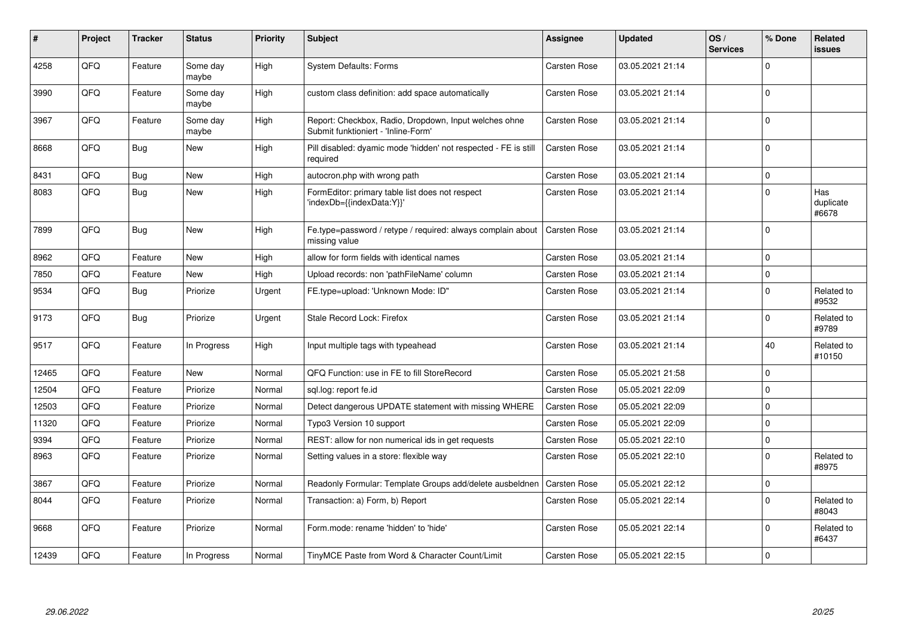| ∦     | Project | <b>Tracker</b> | <b>Status</b>     | <b>Priority</b> | <b>Subject</b>                                                                               | Assignee            | <b>Updated</b>   | OS/<br><b>Services</b> | % Done         | <b>Related</b><br>issues  |
|-------|---------|----------------|-------------------|-----------------|----------------------------------------------------------------------------------------------|---------------------|------------------|------------------------|----------------|---------------------------|
| 4258  | QFQ     | Feature        | Some day<br>maybe | High            | <b>System Defaults: Forms</b>                                                                | Carsten Rose        | 03.05.2021 21:14 |                        | $\Omega$       |                           |
| 3990  | QFQ     | Feature        | Some day<br>maybe | High            | custom class definition: add space automatically                                             | Carsten Rose        | 03.05.2021 21:14 |                        | $\Omega$       |                           |
| 3967  | QFQ     | Feature        | Some day<br>maybe | High            | Report: Checkbox, Radio, Dropdown, Input welches ohne<br>Submit funktioniert - 'Inline-Form' | Carsten Rose        | 03.05.2021 21:14 |                        | $\Omega$       |                           |
| 8668  | QFQ     | Bug            | <b>New</b>        | High            | Pill disabled: dyamic mode 'hidden' not respected - FE is still<br>required                  | Carsten Rose        | 03.05.2021 21:14 |                        | $\Omega$       |                           |
| 8431  | QFQ     | <b>Bug</b>     | <b>New</b>        | High            | autocron.php with wrong path                                                                 | <b>Carsten Rose</b> | 03.05.2021 21:14 |                        | $\overline{0}$ |                           |
| 8083  | QFQ     | Bug            | New               | High            | FormEditor: primary table list does not respect<br>'indexDb={{indexData:Y}}'                 | Carsten Rose        | 03.05.2021 21:14 |                        | $\Omega$       | Has<br>duplicate<br>#6678 |
| 7899  | QFQ     | <b>Bug</b>     | New               | High            | Fe.type=password / retype / required: always complain about<br>missing value                 | <b>Carsten Rose</b> | 03.05.2021 21:14 |                        | $\Omega$       |                           |
| 8962  | QFQ     | Feature        | <b>New</b>        | High            | allow for form fields with identical names                                                   | <b>Carsten Rose</b> | 03.05.2021 21:14 |                        | 0              |                           |
| 7850  | QFQ     | Feature        | New               | High            | Upload records: non 'pathFileName' column                                                    | Carsten Rose        | 03.05.2021 21:14 |                        | $\Omega$       |                           |
| 9534  | QFQ     | Bug            | Priorize          | Urgent          | FE.type=upload: 'Unknown Mode: ID"                                                           | Carsten Rose        | 03.05.2021 21:14 |                        | $\mathbf 0$    | Related to<br>#9532       |
| 9173  | QFQ     | <b>Bug</b>     | Priorize          | Urgent          | Stale Record Lock: Firefox                                                                   | <b>Carsten Rose</b> | 03.05.2021 21:14 |                        | $\Omega$       | Related to<br>#9789       |
| 9517  | QFQ     | Feature        | In Progress       | High            | Input multiple tags with typeahead                                                           | Carsten Rose        | 03.05.2021 21:14 |                        | 40             | Related to<br>#10150      |
| 12465 | QFQ     | Feature        | New               | Normal          | QFQ Function: use in FE to fill StoreRecord                                                  | Carsten Rose        | 05.05.2021 21:58 |                        | $\Omega$       |                           |
| 12504 | QFQ     | Feature        | Priorize          | Normal          | sql.log: report fe.id                                                                        | <b>Carsten Rose</b> | 05.05.2021 22:09 |                        | $\Omega$       |                           |
| 12503 | QFQ     | Feature        | Priorize          | Normal          | Detect dangerous UPDATE statement with missing WHERE                                         | <b>Carsten Rose</b> | 05.05.2021 22:09 |                        | $\Omega$       |                           |
| 11320 | QFQ     | Feature        | Priorize          | Normal          | Typo3 Version 10 support                                                                     | Carsten Rose        | 05.05.2021 22:09 |                        | $\mathbf 0$    |                           |
| 9394  | QFQ     | Feature        | Priorize          | Normal          | REST: allow for non numerical ids in get requests                                            | Carsten Rose        | 05.05.2021 22:10 |                        | $\overline{0}$ |                           |
| 8963  | QFQ     | Feature        | Priorize          | Normal          | Setting values in a store: flexible way                                                      | Carsten Rose        | 05.05.2021 22:10 |                        | $\Omega$       | Related to<br>#8975       |
| 3867  | QFQ     | Feature        | Priorize          | Normal          | Readonly Formular: Template Groups add/delete ausbeldnen                                     | <b>Carsten Rose</b> | 05.05.2021 22:12 |                        | $\mathbf 0$    |                           |
| 8044  | QFQ     | Feature        | Priorize          | Normal          | Transaction: a) Form, b) Report                                                              | Carsten Rose        | 05.05.2021 22:14 |                        | $\Omega$       | Related to<br>#8043       |
| 9668  | QFQ     | Feature        | Priorize          | Normal          | Form.mode: rename 'hidden' to 'hide'                                                         | Carsten Rose        | 05.05.2021 22:14 |                        | $\mathbf 0$    | Related to<br>#6437       |
| 12439 | QFQ     | Feature        | In Progress       | Normal          | TinyMCE Paste from Word & Character Count/Limit                                              | Carsten Rose        | 05.05.2021 22:15 |                        | $\Omega$       |                           |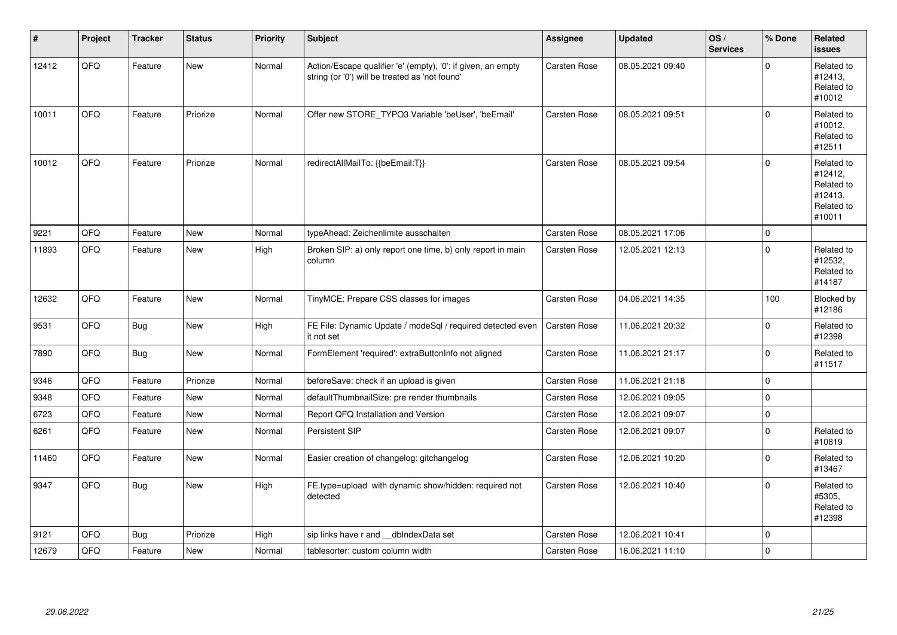| #     | Project | <b>Tracker</b> | <b>Status</b> | <b>Priority</b> | Subject                                                                                                        | Assignee            | Updated          | OS/<br><b>Services</b> | % Done      | Related<br><b>issues</b>                                               |
|-------|---------|----------------|---------------|-----------------|----------------------------------------------------------------------------------------------------------------|---------------------|------------------|------------------------|-------------|------------------------------------------------------------------------|
| 12412 | QFQ     | Feature        | New           | Normal          | Action/Escape qualifier 'e' (empty), '0': if given, an empty<br>string (or '0') will be treated as 'not found' | <b>Carsten Rose</b> | 08.05.2021 09:40 |                        | $\Omega$    | Related to<br>#12413,<br>Related to<br>#10012                          |
| 10011 | QFQ     | Feature        | Priorize      | Normal          | Offer new STORE TYPO3 Variable 'beUser', 'beEmail'                                                             | Carsten Rose        | 08.05.2021 09:51 |                        | $\Omega$    | Related to<br>#10012,<br>Related to<br>#12511                          |
| 10012 | QFQ     | Feature        | Priorize      | Normal          | redirectAllMailTo: {{beEmail:T}}                                                                               | <b>Carsten Rose</b> | 08.05.2021 09:54 |                        | $\mathbf 0$ | Related to<br>#12412,<br>Related to<br>#12413,<br>Related to<br>#10011 |
| 9221  | QFQ     | Feature        | <b>New</b>    | Normal          | typeAhead: Zeichenlimite ausschalten                                                                           | <b>Carsten Rose</b> | 08.05.2021 17:06 |                        | $\mathbf 0$ |                                                                        |
| 11893 | QFQ     | Feature        | New           | High            | Broken SIP: a) only report one time, b) only report in main<br>column                                          | <b>Carsten Rose</b> | 12.05.2021 12:13 |                        | $\mathbf 0$ | Related to<br>#12532,<br>Related to<br>#14187                          |
| 12632 | QFQ     | Feature        | New           | Normal          | TinyMCE: Prepare CSS classes for images                                                                        | Carsten Rose        | 04.06.2021 14:35 |                        | 100         | Blocked by<br>#12186                                                   |
| 9531  | QFQ     | <b>Bug</b>     | New           | High            | FE File: Dynamic Update / modeSql / required detected even<br>it not set                                       | <b>Carsten Rose</b> | 11.06.2021 20:32 |                        | $\mathbf 0$ | Related to<br>#12398                                                   |
| 7890  | QFQ     | <b>Bug</b>     | New           | Normal          | FormElement 'required': extraButtonInfo not aligned                                                            | <b>Carsten Rose</b> | 11.06.2021 21:17 |                        | $\mathbf 0$ | Related to<br>#11517                                                   |
| 9346  | QFQ     | Feature        | Priorize      | Normal          | beforeSave: check if an upload is given                                                                        | <b>Carsten Rose</b> | 11.06.2021 21:18 |                        | $\mathbf 0$ |                                                                        |
| 9348  | QFQ     | Feature        | New           | Normal          | defaultThumbnailSize: pre render thumbnails                                                                    | <b>Carsten Rose</b> | 12.06.2021 09:05 |                        | $\mathbf 0$ |                                                                        |
| 6723  | QFQ     | Feature        | New           | Normal          | Report QFQ Installation and Version                                                                            | Carsten Rose        | 12.06.2021 09:07 |                        | $\pmb{0}$   |                                                                        |
| 6261  | QFQ     | Feature        | <b>New</b>    | Normal          | Persistent SIP                                                                                                 | <b>Carsten Rose</b> | 12.06.2021 09:07 |                        | $\mathbf 0$ | Related to<br>#10819                                                   |
| 11460 | QFQ     | Feature        | New           | Normal          | Easier creation of changelog: gitchangelog                                                                     | Carsten Rose        | 12.06.2021 10:20 |                        | $\mathbf 0$ | Related to<br>#13467                                                   |
| 9347  | QFQ     | <b>Bug</b>     | New           | High            | FE.type=upload with dynamic show/hidden: required not<br>detected                                              | <b>Carsten Rose</b> | 12.06.2021 10:40 |                        | $\Omega$    | Related to<br>#5305,<br>Related to<br>#12398                           |
| 9121  | QFQ     | Bug            | Priorize      | High            | sip links have r and dblndexData set                                                                           | Carsten Rose        | 12.06.2021 10:41 |                        | $\mathbf 0$ |                                                                        |
| 12679 | QFQ     | Feature        | New           | Normal          | tablesorter: custom column width                                                                               | <b>Carsten Rose</b> | 16.06.2021 11:10 |                        | $\mathbf 0$ |                                                                        |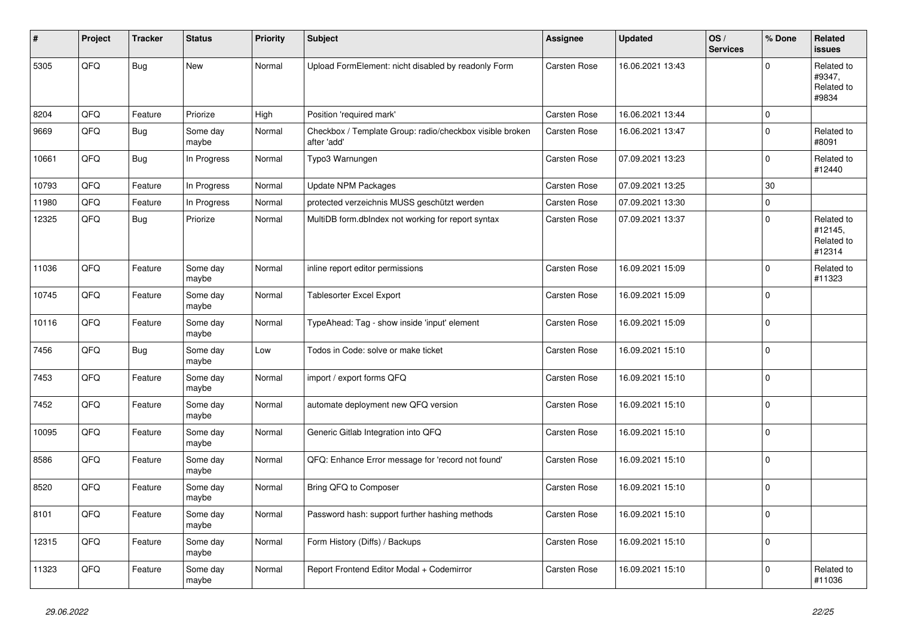| #     | Project | <b>Tracker</b> | <b>Status</b>     | <b>Priority</b> | <b>Subject</b>                                                          | Assignee            | <b>Updated</b>   | OS/<br><b>Services</b> | % Done      | Related<br>issues                             |
|-------|---------|----------------|-------------------|-----------------|-------------------------------------------------------------------------|---------------------|------------------|------------------------|-------------|-----------------------------------------------|
| 5305  | QFQ     | <b>Bug</b>     | <b>New</b>        | Normal          | Upload FormElement: nicht disabled by readonly Form                     | Carsten Rose        | 16.06.2021 13:43 |                        | $\Omega$    | Related to<br>#9347,<br>Related to<br>#9834   |
| 8204  | QFQ     | Feature        | Priorize          | High            | Position 'required mark'                                                | <b>Carsten Rose</b> | 16.06.2021 13:44 |                        | I٥          |                                               |
| 9669  | QFQ     | Bug            | Some day<br>maybe | Normal          | Checkbox / Template Group: radio/checkbox visible broken<br>after 'add' | Carsten Rose        | 16.06.2021 13:47 |                        | $\Omega$    | Related to<br>#8091                           |
| 10661 | QFQ     | <b>Bug</b>     | In Progress       | Normal          | Typo3 Warnungen                                                         | Carsten Rose        | 07.09.2021 13:23 |                        | $\mathbf 0$ | Related to<br>#12440                          |
| 10793 | QFQ     | Feature        | In Progress       | Normal          | <b>Update NPM Packages</b>                                              | Carsten Rose        | 07.09.2021 13:25 |                        | 30          |                                               |
| 11980 | QFQ     | Feature        | In Progress       | Normal          | protected verzeichnis MUSS geschützt werden                             | Carsten Rose        | 07.09.2021 13:30 |                        | $\mathbf 0$ |                                               |
| 12325 | QFQ     | <b>Bug</b>     | Priorize          | Normal          | MultiDB form.dblndex not working for report syntax                      | <b>Carsten Rose</b> | 07.09.2021 13:37 |                        | $\Omega$    | Related to<br>#12145,<br>Related to<br>#12314 |
| 11036 | QFQ     | Feature        | Some day<br>maybe | Normal          | inline report editor permissions                                        | Carsten Rose        | 16.09.2021 15:09 |                        | $\Omega$    | Related to<br>#11323                          |
| 10745 | QFQ     | Feature        | Some day<br>maybe | Normal          | Tablesorter Excel Export                                                | Carsten Rose        | 16.09.2021 15:09 |                        | $\Omega$    |                                               |
| 10116 | QFQ     | Feature        | Some day<br>maybe | Normal          | TypeAhead: Tag - show inside 'input' element                            | Carsten Rose        | 16.09.2021 15:09 |                        | l o         |                                               |
| 7456  | QFQ     | <b>Bug</b>     | Some day<br>maybe | Low             | Todos in Code: solve or make ticket                                     | Carsten Rose        | 16.09.2021 15:10 |                        | $\Omega$    |                                               |
| 7453  | QFQ     | Feature        | Some day<br>maybe | Normal          | import / export forms QFQ                                               | Carsten Rose        | 16.09.2021 15:10 |                        | $\Omega$    |                                               |
| 7452  | QFQ     | Feature        | Some day<br>maybe | Normal          | automate deployment new QFQ version                                     | <b>Carsten Rose</b> | 16.09.2021 15:10 |                        | I٥          |                                               |
| 10095 | QFQ     | Feature        | Some day<br>maybe | Normal          | Generic Gitlab Integration into QFQ                                     | Carsten Rose        | 16.09.2021 15:10 |                        | $\mathbf 0$ |                                               |
| 8586  | QFQ     | Feature        | Some day<br>maybe | Normal          | QFQ: Enhance Error message for 'record not found'                       | Carsten Rose        | 16.09.2021 15:10 |                        | l O         |                                               |
| 8520  | QFQ     | Feature        | Some day<br>maybe | Normal          | Bring QFQ to Composer                                                   | <b>Carsten Rose</b> | 16.09.2021 15:10 |                        | $\Omega$    |                                               |
| 8101  | QFQ     | Feature        | Some day<br>maybe | Normal          | Password hash: support further hashing methods                          | Carsten Rose        | 16.09.2021 15:10 |                        | $\Omega$    |                                               |
| 12315 | QFQ     | Feature        | Some day<br>maybe | Normal          | Form History (Diffs) / Backups                                          | Carsten Rose        | 16.09.2021 15:10 |                        | $\Omega$    |                                               |
| 11323 | QFQ     | Feature        | Some day<br>maybe | Normal          | Report Frontend Editor Modal + Codemirror                               | <b>Carsten Rose</b> | 16.09.2021 15:10 |                        | $\Omega$    | Related to<br>#11036                          |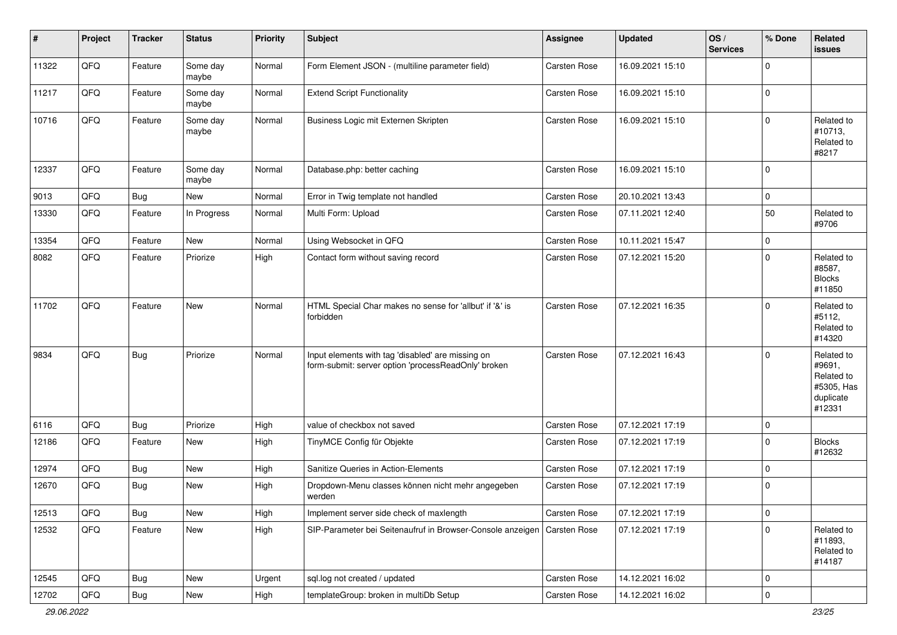| #     | Project        | <b>Tracker</b> | <b>Status</b>     | <b>Priority</b> | <b>Subject</b>                                                                                           | <b>Assignee</b>     | <b>Updated</b>   | OS/<br><b>Services</b> | % Done      | Related<br>issues                                                       |
|-------|----------------|----------------|-------------------|-----------------|----------------------------------------------------------------------------------------------------------|---------------------|------------------|------------------------|-------------|-------------------------------------------------------------------------|
| 11322 | QFQ            | Feature        | Some day<br>maybe | Normal          | Form Element JSON - (multiline parameter field)                                                          | <b>Carsten Rose</b> | 16.09.2021 15:10 |                        | $\Omega$    |                                                                         |
| 11217 | QFQ            | Feature        | Some day<br>maybe | Normal          | <b>Extend Script Functionality</b>                                                                       | Carsten Rose        | 16.09.2021 15:10 |                        | $\mathbf 0$ |                                                                         |
| 10716 | QFQ            | Feature        | Some day<br>maybe | Normal          | Business Logic mit Externen Skripten                                                                     | Carsten Rose        | 16.09.2021 15:10 |                        | $\Omega$    | Related to<br>#10713,<br>Related to<br>#8217                            |
| 12337 | QFQ            | Feature        | Some day<br>maybe | Normal          | Database.php: better caching                                                                             | <b>Carsten Rose</b> | 16.09.2021 15:10 |                        | 0           |                                                                         |
| 9013  | QFQ            | <b>Bug</b>     | New               | Normal          | Error in Twig template not handled                                                                       | <b>Carsten Rose</b> | 20.10.2021 13:43 |                        | $\mathbf 0$ |                                                                         |
| 13330 | QFQ            | Feature        | In Progress       | Normal          | Multi Form: Upload                                                                                       | Carsten Rose        | 07.11.2021 12:40 |                        | 50          | Related to<br>#9706                                                     |
| 13354 | QFQ            | Feature        | New               | Normal          | Using Websocket in QFQ                                                                                   | <b>Carsten Rose</b> | 10.11.2021 15:47 |                        | $\mathbf 0$ |                                                                         |
| 8082  | QFQ            | Feature        | Priorize          | High            | Contact form without saving record                                                                       | Carsten Rose        | 07.12.2021 15:20 |                        | $\Omega$    | Related to<br>#8587,<br><b>Blocks</b><br>#11850                         |
| 11702 | QFQ            | Feature        | New               | Normal          | HTML Special Char makes no sense for 'allbut' if '&' is<br>forbidden                                     | <b>Carsten Rose</b> | 07.12.2021 16:35 |                        | $\Omega$    | Related to<br>#5112,<br>Related to<br>#14320                            |
| 9834  | QFQ            | <b>Bug</b>     | Priorize          | Normal          | Input elements with tag 'disabled' are missing on<br>form-submit: server option 'processReadOnly' broken | <b>Carsten Rose</b> | 07.12.2021 16:43 |                        | 0           | Related to<br>#9691,<br>Related to<br>#5305, Has<br>duplicate<br>#12331 |
| 6116  | QFQ            | <b>Bug</b>     | Priorize          | High            | value of checkbox not saved                                                                              | <b>Carsten Rose</b> | 07.12.2021 17:19 |                        | 0           |                                                                         |
| 12186 | QFQ            | Feature        | New               | High            | TinyMCE Config für Objekte                                                                               | Carsten Rose        | 07.12.2021 17:19 |                        | $\Omega$    | <b>Blocks</b><br>#12632                                                 |
| 12974 | QFQ            | <b>Bug</b>     | New               | High            | Sanitize Queries in Action-Elements                                                                      | <b>Carsten Rose</b> | 07.12.2021 17:19 |                        | $\mathbf 0$ |                                                                         |
| 12670 | QFQ            | <b>Bug</b>     | New               | High            | Dropdown-Menu classes können nicht mehr angegeben<br>werden                                              | <b>Carsten Rose</b> | 07.12.2021 17:19 |                        | 0 I         |                                                                         |
| 12513 | QFQ            | <b>Bug</b>     | New               | High            | Implement server side check of maxlength                                                                 | Carsten Rose        | 07.12.2021 17:19 |                        | 0           |                                                                         |
| 12532 | QFQ            | Feature        | New               | High            | SIP-Parameter bei Seitenaufruf in Browser-Console anzeigen                                               | Carsten Rose        | 07.12.2021 17:19 |                        | $\mathbf 0$ | Related to<br>#11893,<br>Related to<br>#14187                           |
| 12545 | QFG            | <b>Bug</b>     | New               | Urgent          | sql.log not created / updated                                                                            | Carsten Rose        | 14.12.2021 16:02 |                        | 0           |                                                                         |
| 12702 | $\mathsf{QFQ}$ | <b>Bug</b>     | New               | High            | templateGroup: broken in multiDb Setup                                                                   | Carsten Rose        | 14.12.2021 16:02 |                        | 0           |                                                                         |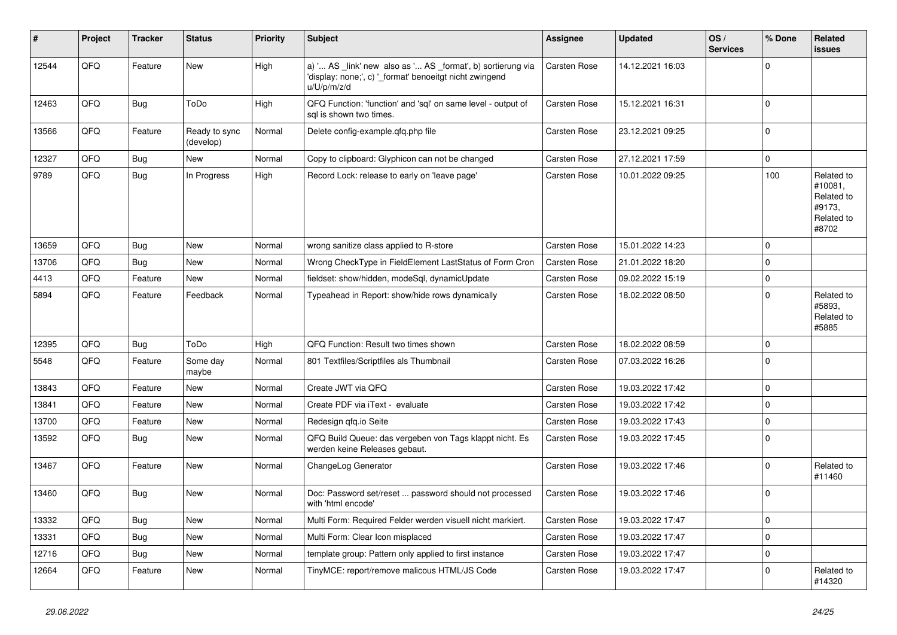| #     | Project | <b>Tracker</b> | <b>Status</b>              | <b>Priority</b> | <b>Subject</b>                                                                                                                        | Assignee            | <b>Updated</b>   | OS/<br><b>Services</b> | % Done      | Related<br><b>issues</b>                                             |
|-------|---------|----------------|----------------------------|-----------------|---------------------------------------------------------------------------------------------------------------------------------------|---------------------|------------------|------------------------|-------------|----------------------------------------------------------------------|
| 12544 | QFQ     | Feature        | <b>New</b>                 | High            | a) ' AS _link' new also as ' AS _format', b) sortierung via<br>'display: none;', c) ' format' benoeitgt nicht zwingend<br>u/U/p/m/z/d | <b>Carsten Rose</b> | 14.12.2021 16:03 |                        | $\Omega$    |                                                                      |
| 12463 | QFQ     | <b>Bug</b>     | ToDo                       | High            | QFQ Function: 'function' and 'sql' on same level - output of<br>sgl is shown two times.                                               | Carsten Rose        | 15.12.2021 16:31 |                        | $\Omega$    |                                                                      |
| 13566 | QFQ     | Feature        | Ready to sync<br>(develop) | Normal          | Delete config-example.qfq.php file                                                                                                    | Carsten Rose        | 23.12.2021 09:25 |                        | $\Omega$    |                                                                      |
| 12327 | QFQ     | <b>Bug</b>     | New                        | Normal          | Copy to clipboard: Glyphicon can not be changed                                                                                       | <b>Carsten Rose</b> | 27.12.2021 17:59 |                        | $\mathbf 0$ |                                                                      |
| 9789  | QFQ     | Bug            | In Progress                | High            | Record Lock: release to early on 'leave page'                                                                                         | Carsten Rose        | 10.01.2022 09:25 |                        | 100         | Related to<br>#10081,<br>Related to<br>#9173,<br>Related to<br>#8702 |
| 13659 | QFQ     | Bug            | <b>New</b>                 | Normal          | wrong sanitize class applied to R-store                                                                                               | <b>Carsten Rose</b> | 15.01.2022 14:23 |                        | $\Omega$    |                                                                      |
| 13706 | QFQ     | <b>Bug</b>     | New                        | Normal          | Wrong CheckType in FieldElement LastStatus of Form Cron                                                                               | <b>Carsten Rose</b> | 21.01.2022 18:20 |                        | $\Omega$    |                                                                      |
| 4413  | QFQ     | Feature        | <b>New</b>                 | Normal          | fieldset: show/hidden, modeSql, dynamicUpdate                                                                                         | <b>Carsten Rose</b> | 09.02.2022 15:19 |                        | $\Omega$    |                                                                      |
| 5894  | QFQ     | Feature        | Feedback                   | Normal          | Typeahead in Report: show/hide rows dynamically                                                                                       | Carsten Rose        | 18.02.2022 08:50 |                        | $\Omega$    | Related to<br>#5893.<br>Related to<br>#5885                          |
| 12395 | QFQ     | Bug            | ToDo                       | High            | QFQ Function: Result two times shown                                                                                                  | Carsten Rose        | 18.02.2022 08:59 |                        | $\mathbf 0$ |                                                                      |
| 5548  | QFQ     | Feature        | Some day<br>maybe          | Normal          | 801 Textfiles/Scriptfiles als Thumbnail                                                                                               | Carsten Rose        | 07.03.2022 16:26 |                        | $\Omega$    |                                                                      |
| 13843 | QFQ     | Feature        | New                        | Normal          | Create JWT via QFQ                                                                                                                    | Carsten Rose        | 19.03.2022 17:42 |                        | $\Omega$    |                                                                      |
| 13841 | QFQ     | Feature        | <b>New</b>                 | Normal          | Create PDF via iText - evaluate                                                                                                       | <b>Carsten Rose</b> | 19.03.2022 17:42 |                        | $\Omega$    |                                                                      |
| 13700 | QFQ     | Feature        | <b>New</b>                 | Normal          | Redesign gfg.io Seite                                                                                                                 | <b>Carsten Rose</b> | 19.03.2022 17:43 |                        | $\Omega$    |                                                                      |
| 13592 | QFQ     | <b>Bug</b>     | <b>New</b>                 | Normal          | QFQ Build Queue: das vergeben von Tags klappt nicht. Es<br>werden keine Releases gebaut.                                              | Carsten Rose        | 19.03.2022 17:45 |                        | $\Omega$    |                                                                      |
| 13467 | QFQ     | Feature        | New                        | Normal          | ChangeLog Generator                                                                                                                   | Carsten Rose        | 19.03.2022 17:46 |                        | $\Omega$    | Related to<br>#11460                                                 |
| 13460 | QFQ     | Bug            | <b>New</b>                 | Normal          | Doc: Password set/reset  password should not processed<br>with 'html encode'                                                          | Carsten Rose        | 19.03.2022 17:46 |                        | $\Omega$    |                                                                      |
| 13332 | QFQ     | <b>Bug</b>     | <b>New</b>                 | Normal          | Multi Form: Required Felder werden visuell nicht markiert.                                                                            | Carsten Rose        | 19.03.2022 17:47 |                        | $\Omega$    |                                                                      |
| 13331 | QFQ     | Bug            | New                        | Normal          | Multi Form: Clear Icon misplaced                                                                                                      | Carsten Rose        | 19.03.2022 17:47 |                        | $\Omega$    |                                                                      |
| 12716 | QFQ     | <b>Bug</b>     | New                        | Normal          | template group: Pattern only applied to first instance                                                                                | Carsten Rose        | 19.03.2022 17:47 |                        | $\Omega$    |                                                                      |
| 12664 | QFQ     | Feature        | New                        | Normal          | TinyMCE: report/remove malicous HTML/JS Code                                                                                          | Carsten Rose        | 19.03.2022 17:47 |                        | $\Omega$    | Related to<br>#14320                                                 |